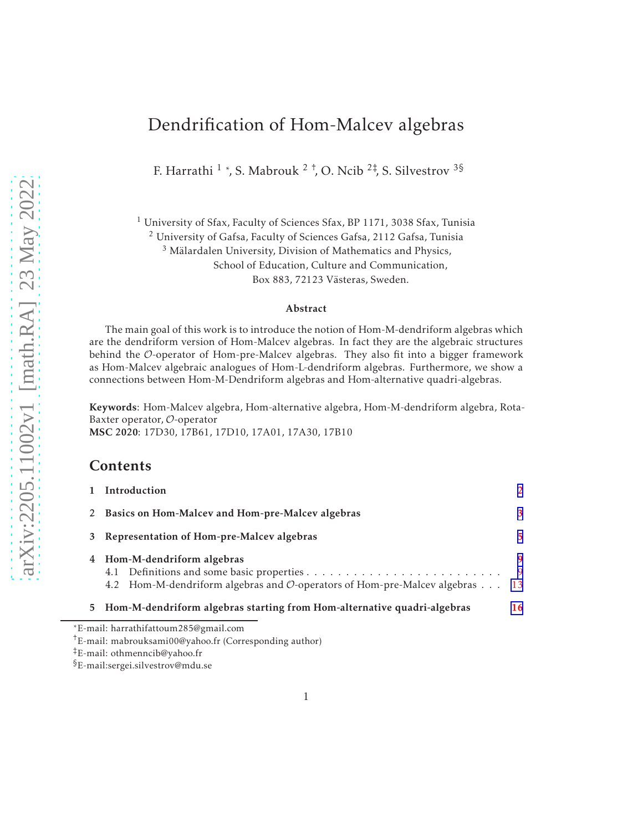# Dendrification of Hom-Malcev algebras

F. Harrathi  $^1$  \*, S. Mabrouk  $^2$  <sup>†</sup>, O. Ncib  $^{2\ddagger}$ , S. Silvestrov  $^{3\frac{5}{3}}$ 

 $1$  University of Sfax, Faculty of Sciences Sfax, BP 1171, 3038 Sfax, Tunisia

<sup>2</sup> University of Gafsa, Faculty of Sciences Gafsa, 2112 Gafsa, Tunisia

<sup>3</sup> Mälardalen University, Division of Mathematics and Physics,

School of Education, Culture and Communication,

Box 883, 72123 Västeras, Sweden.

#### Abstract

The main goal of this work is to introduce the notion of Hom-M-dendriform algebras which are the dendriform version of Hom-Malcev algebras. In fact they are the algebraic structures behind the O-operator of Hom-pre-Malcev algebras. They also fit into a bigger framework as Hom-Malcev algebraic analogues of Hom-L-dendriform algebras. Furthermore, we show a connections between Hom-M-Dendriform algebras and Hom-alternative quadri-algebras.

Keywords: Hom-Malcev algebra, Hom-alternative algebra, Hom-M-dendriform algebra, Rota-Baxter operator, O-operator MSC 2020: 17D30, 17B61, 17D10, 17A01, 17A30, 17B10

#### Contents

|   | Introduction                                                                                            | $\mathcal{L}$ |
|---|---------------------------------------------------------------------------------------------------------|---------------|
| 2 | Basics on Hom-Malcev and Hom-pre-Malcev algebras                                                        | 3             |
| 3 | Representation of Hom-pre-Malcev algebras                                                               | 5             |
|   | 4 Hom-M-dendriform algebras<br>4.2 Hom-M-dendriform algebras and O-operators of Hom-pre-Malcev algebras | 9<br>9<br>-13 |
|   | 5 Hom-M-dendriform algebras starting from Hom-alternative quadri-algebras                               | 16            |
|   | *E-mail: harrathifattoum285@gmail.com                                                                   |               |

§E-mail:sergei.silvestrov@mdu.se

<sup>†</sup>E-mail: mabrouksami00@yahoo.fr (Corresponding author)

<sup>‡</sup>E-mail: othmenncib@yahoo.fr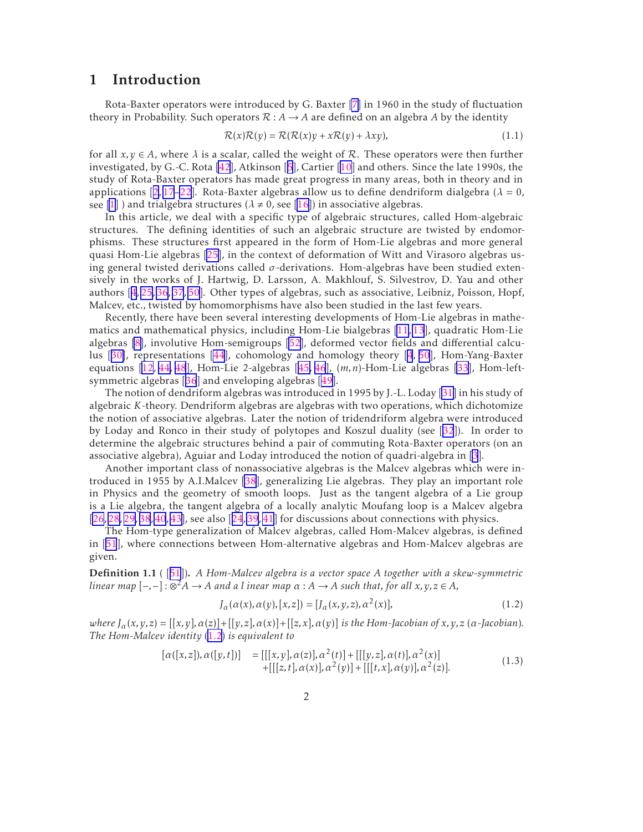### <span id="page-1-0"></span>1 Introduction

Rota-Baxter operators were introduced by G. Baxter [\[7\]](#page-21-0) in 1960 in the study of fluctuation theory in Probability. Such operators  $\mathcal{R}: A \rightarrow A$  are defined on an algebra A by the identity

$$
\mathcal{R}(x)\mathcal{R}(y) = \mathcal{R}(\mathcal{R}(x)y + x\mathcal{R}(y) + \lambda xy),\tag{1.1}
$$

for all  $x, y \in A$ , where  $\lambda$  is a scalar, called the weight of R. These operators were then further investigated, by G.-C. Rota [\[42](#page-23-0)], Atkinson[[5](#page-21-0)], Cartier [\[10\]](#page-21-0) and others. Since the late 1990s, the study of Rota-Baxter operators has made great progress in many areas, both in theory and in applications $[2, 17-22]$  $[2, 17-22]$  $[2, 17-22]$  $[2, 17-22]$  $[2, 17-22]$ . Rota-Baxter algebras allow us to define dendriform dialgebra  $(\lambda = 0,$ see [\[1\]](#page-21-0)) and trialgebra structures ( $\lambda \neq 0$ , see [\[16](#page-21-0)]) in associative algebras.

In this article, we deal with a specific type of algebraic structures, called Hom-algebraic structures. The defining identities of such an algebraic structure are twisted by endomorphisms. These structures first appeared in the form of Hom-Lie algebras and more general quasi Hom-Lie algebras [\[25\]](#page-22-0), in the context of deformation of Witt and Virasoro algebras using general twisted derivations called *σ*-derivations. Hom-algebras have been studied extensively in the works of J. Hartwig, D. Larsson, A. Makhlouf, S. Silvestrov, D. Yau and other authors[[4](#page-21-0), [25](#page-22-0), [36](#page-22-0), [37](#page-22-0), [50](#page-23-0)]. Other types of algebras, such as associative, Leibniz, Poisson, Hopf, Malcev, etc., twisted by homomorphisms have also been studied in the last few years.

Recently, there have been several interesting developments of Hom-Lie algebras in mathematics and mathematical physics, including Hom-Lie bialgebras [\[11](#page-21-0), [13](#page-21-0)], quadratic Hom-Lie algebras [\[8\]](#page-21-0), involutive Hom-semigroups [\[52](#page-23-0)], deformed vector fields and differential calculus[[30\]](#page-22-0), representations [\[44\]](#page-23-0), cohomology and homology theory [\[4](#page-21-0), [50](#page-23-0)], Hom-Yang-Baxter equations [\[12](#page-21-0), [44,](#page-23-0) [48](#page-23-0)], Hom-Lie 2-algebras[[45,](#page-23-0) [46](#page-23-0)], (*m,n*)-Hom-Lie algebras [\[33](#page-22-0)], Hom-leftsymmetric algebras[[36](#page-22-0)] and enveloping algebras[[49\]](#page-23-0).

The notion of dendriform algebras was introduced in 1995 by J.-L. Loday[[31\]](#page-22-0) in his study of algebraic *K*-theory. Dendriform algebras are algebras with two operations, which dichotomize the notion of associative algebras. Later the notion of tridendriform algebra were introduced by Loday and Ronco in their study of polytopes and Koszul duality (see[[32](#page-22-0)]). In order to determine the algebraic structures behind a pair of commuting Rota-Baxter operators (on an associative algebra), Aguiar and Loday introduced the notion of quadri-algebra in [\[3](#page-21-0)].

Another important class of nonassociative algebras is the Malcev algebras which were introduced in 1955 by A.I.Malcev [\[38\]](#page-23-0), generalizing Lie algebras. They play an important role in Physics and the geometry of smooth loops. Just as the tangent algebra of a Lie group is a Lie algebra, the tangent algebra of a locally analytic Moufang loop is a Malcev algebra [\[26](#page-22-0), [28,](#page-22-0) [29,](#page-22-0) [38](#page-23-0), [40](#page-23-0), [43\]](#page-23-0),see also [[24](#page-22-0), [39](#page-23-0), [41](#page-23-0)] for discussions about connections with physics.

The Hom-type generalization of Malcev algebras, called Hom-Malcev algebras, is defined in[[51](#page-23-0)], where connections between Hom-alternative algebras and Hom-Malcev algebras are given.

Definition 1.1 ([[51](#page-23-0)]). *A Hom-Malcev algebra is a vector space A together with a skew-symmetric linear map* [−*,*−] : ⊗ <sup>2</sup>*A* → *A and a l inear map α* : *A* → *A such that, for all x,y,z* ∈ *A,*

$$
J_{\alpha}(\alpha(x), \alpha(y), [x, z]) = [J_{\alpha}(x, y, z), \alpha^{2}(x)], \qquad (1.2)
$$

where  $J_{\alpha}(x, y, z) = [[x, y], \alpha(z)] + [[y, z], \alpha(x)] + [[z, x], \alpha(y)]$  is the Hom-Jacobian of x, y, z ( $\alpha$ -Jacobian). *The Hom-Malcev identity* (1.2) *is equivalent to*

$$
[\alpha([x,z], \alpha([y,t])] = [[[x,y], \alpha(z)], \alpha^2(t)] + [[[y,z], \alpha(t)], \alpha^2(x)] + [[[z,t], \alpha(x)], \alpha^2(y)] + [[[t,x], \alpha(y)], \alpha^2(z)].
$$
\n(1.3)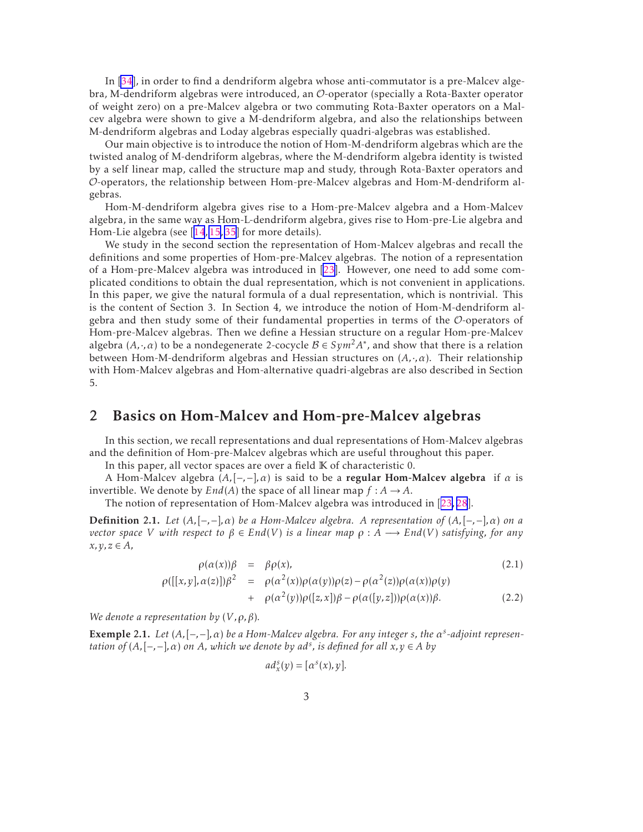<span id="page-2-0"></span>In [\[34](#page-22-0)], in order to find a dendriform algebra whose anti-commutator is a pre-Malcev algebra, M-dendriform algebras were introduced, an O-operator (specially a Rota-Baxter operator of weight zero) on a pre-Malcev algebra or two commuting Rota-Baxter operators on a Malcev algebra were shown to give a M-dendriform algebra, and also the relationships between M-dendriform algebras and Loday algebras especially quadri-algebras was established.

Our main objective is to introduce the notion of Hom-M-dendriform algebras which are the twisted analog of M-dendriform algebras, where the M-dendriform algebra identity is twisted by a self linear map, called the structure map and study, through Rota-Baxter operators and O-operators, the relationship between Hom-pre-Malcev algebras and Hom-M-dendriform algebras.

Hom-M-dendriform algebra gives rise to a Hom-pre-Malcev algebra and a Hom-Malcev algebra, in the same way as Hom-L-dendriform algebra, gives rise to Hom-pre-Lie algebra and Hom-Lie algebra (see[[14](#page-21-0), [15](#page-21-0), [35\]](#page-22-0) for more details).

We study in the second section the representation of Hom-Malcev algebras and recall the definitions and some properties of Hom-pre-Malcev algebras. The notion of a representation of a Hom-pre-Malcev algebra was introduced in[[23\]](#page-22-0). However, one need to add some complicated conditions to obtain the dual representation, which is not convenient in applications. In this paper, we give the natural formula of a dual representation, which is nontrivial. This is the content of Section 3. In Section 4, we introduce the notion of Hom-M-dendriform algebra and then study some of their fundamental properties in terms of the O-operators of Hom-pre-Malcev algebras. Then we define a Hessian structure on a regular Hom-pre-Malcev algebra  $(A, \cdot, \alpha)$  to be a nondegenerate 2-cocycle  $B \in Sym^2 A^*$ , and show that there is a relation between Hom-M-dendriform algebras and Hessian structures on (*A,*·*,α*). Their relationship with Hom-Malcev algebras and Hom-alternative quadri-algebras are also described in Section 5.

#### 2 Basics on Hom-Malcev and Hom-pre-Malcev algebras

In this section, we recall representations and dual representations of Hom-Malcev algebras and the definition of Hom-pre-Malcev algebras which are useful throughout this paper.

In this paper, all vector spaces are over a field K of characteristic 0.

A Hom-Malcev algebra  $(A, [-,-], \alpha)$  is said to be a regular Hom-Malcev algebra if  $\alpha$  is invertible. We denote by  $End(A)$  the space of all linear map  $f : A \rightarrow A$ .

The notion of representation of Hom-Malcev algebra was introduced in[[23,](#page-22-0) [28](#page-22-0)].

Definition 2.1. *Let* (*A,*[−*,*−]*,α*) *be a Hom-Malcev algebra. A representation of* (*A,*[−*,*−]*,α*) *on a vector space V* with respect to  $\beta \in End(V)$  *is a linear map*  $\rho : A \longrightarrow End(V)$  *satisfying, for any x,y,z* ∈ *A,*

$$
\rho(\alpha(x))\beta = \beta \rho(x), \qquad (2.1)
$$

$$
\rho([[x,y],\alpha(z)])\beta^2 = \rho(\alpha^2(x))\rho(\alpha(y))\rho(z) - \rho(\alpha^2(z))\rho(\alpha(x))\rho(y) \n+ \rho(\alpha^2(y))\rho([z,x])\beta - \rho(\alpha([y,z]))\rho(\alpha(x))\beta.
$$
\n(2.2)

*We denote a representation by*  $(V, \rho, \beta)$ *.* 

**Exemple 2.1.** Let  $(A, [-, -], \alpha)$  be a Hom-Malcev algebra. For any integer *s*, the  $\alpha^s$ -adjoint represen*tation of*  $(A, [-, -], \alpha)$  *on*  $A$ *, which we denote by ad<sup>s</sup>, is defined for all*  $x, y \in A$  *<i>by* 

$$
ad_x^s(y) = [\alpha^s(x), y].
$$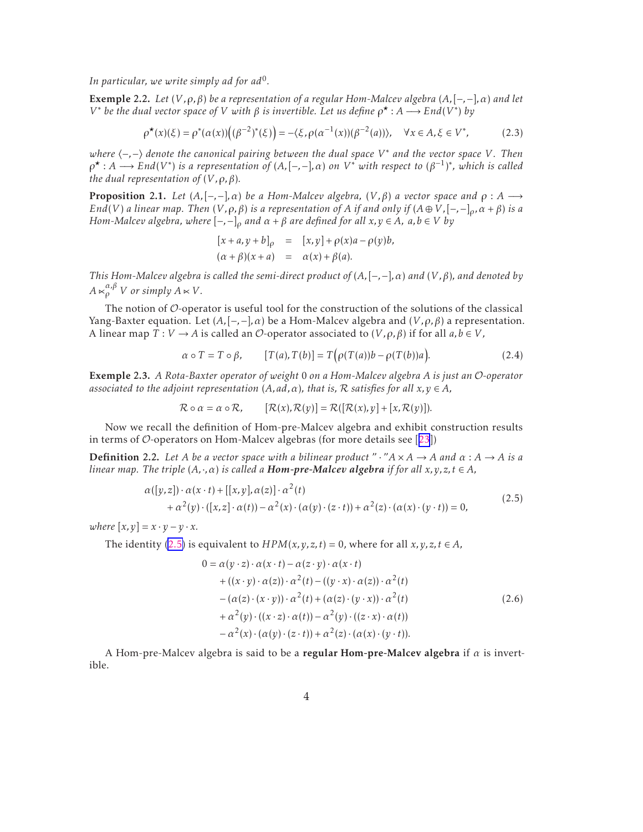<span id="page-3-0"></span>*In particular, we write simply ad for ad*<sup>0</sup> *.*

Exemple 2.2. *Let* (*V ,ρ,β*) *be a representation of a regular Hom-Malcev algebra* (*A,*[−*,*−]*,α*) *and let V*<sup>∗</sup> *be the dual vector space of V with β is invertible. Let us define*  $ρ$ <sup>\*</sup> : *A* → *End*(*V*<sup>\*</sup>) *by* 

$$
\rho^{\star}(x)(\xi) = \rho^{\star}(\alpha(x))((\beta^{-2})^{\star}(\xi)) = -\langle \xi, \rho(\alpha^{-1}(x))(\beta^{-2}(a)) \rangle, \quad \forall x \in A, \xi \in V^*,
$$
 (2.3)

*where* h−*,*−i *denote the canonical pairing between the dual space V* ∗ *and the vector space V. Then*  $\rho^* : A \longrightarrow End(V^*)$  is a representation of  $(A, [-, -], \alpha)$  on  $V^*$  with respect to  $(\beta^{-1})^*$ , which is called *the dual representation of*  $(V, \rho, \beta)$ *.* 

**Proposition 2.1.** *Let*  $(A, [-,-], \alpha)$  *be a Hom-Malcev algebra,*  $(V, \beta)$  *a vector space and*  $ρ : A →$ *End*(*V*) *a linear map. Then* (*V,* $\rho$ *,* $\beta$ ) *is a representation of A if and only if* ( $A \oplus V$ *,*[-*,*-] $\partial$ *,* $\alpha + \beta$ ) *is a Hom-Malcev algebra, where*  $[-,-]_0$  *and*  $\alpha + \beta$  *are defined for all*  $x, y \in A$ *, a,b*  $\in$  *V by* 

$$
[x+a, y+b]_{\rho} = [x, y] + \rho(x)a - \rho(y)b,
$$
  
\n
$$
(\alpha + \beta)(x + a) = \alpha(x) + \beta(a).
$$

*This Hom-Malcev algebra is called the semi-direct product of* (*A,*[−*,*−]*,α*) *and* (*V ,β*)*, and denoted by*  $A \ltimes_{\rho}^{\alpha, \beta} V$  or simply  $A \ltimes V$ .

The notion of  $O$ -operator is useful tool for the construction of the solutions of the classical Yang-Baxter equation. Let  $(A, [-,-], \alpha)$  be a Hom-Malcev algebra and  $(V, \rho, \beta)$  a representation. A linear map  $T: V \to A$  is called an  $\mathcal{O}$ -operator associated to  $(V, \rho, \beta)$  if for all  $a, b \in V$ ,

$$
\alpha \circ T = T \circ \beta, \qquad [T(a), T(b)] = T(\rho(T(a))b - \rho(T(b))a). \tag{2.4}
$$

Exemple 2.3. *A Rota-Baxter operator of weight* 0 *on a Hom-Malcev algebra A is just an* O*-operator associated to the adjoint representation*  $(A, ad, \alpha)$ *, that is,*  $\mathcal{R}$  *satisfies for all*  $x, y \in A$ *,* 

$$
\mathcal{R} \circ \alpha = \alpha \circ \mathcal{R}, \qquad [\mathcal{R}(x), \mathcal{R}(y)] = \mathcal{R}([\mathcal{R}(x), y] + [x, \mathcal{R}(y)]).
$$

Now we recall the definition of Hom-pre-Malcev algebra and exhibit construction results interms of  $\mathcal{O}$ -operators on Hom-Malcev algebras (for more details see [[23](#page-22-0)])

**Definition** 2.2. Let A be a vector space with a bilinear product " $\cdot$  " $A \times A \rightarrow A$  and  $\alpha : A \rightarrow A$  is a *linear map. The triple*  $(A, \cdot, \alpha)$  *is called a Hom-pre-Malcev algebra if for all*  $x, y, z, t \in A$ *,* 

$$
\alpha([y,z]) \cdot \alpha(x \cdot t) + [[x,y], \alpha(z)] \cdot \alpha^2(t) \n+ \alpha^2(y) \cdot ([x,z] \cdot \alpha(t)) - \alpha^2(x) \cdot (\alpha(y) \cdot (z \cdot t)) + \alpha^2(z) \cdot (\alpha(x) \cdot (y \cdot t)) = 0,
$$
\n(2.5)

*where*  $[x, y] = x \cdot y - y \cdot x$ .

The identity (2.5) is equivalent to  $HPM(x, y, z, t) = 0$ , where for all  $x, y, z, t \in A$ ,

$$
0 = \alpha(y \cdot z) \cdot \alpha(x \cdot t) - \alpha(z \cdot y) \cdot \alpha(x \cdot t) + ((x \cdot y) \cdot \alpha(z)) \cdot \alpha^{2}(t) - ((y \cdot x) \cdot \alpha(z)) \cdot \alpha^{2}(t) - (\alpha(z) \cdot (x \cdot y)) \cdot \alpha^{2}(t) + (\alpha(z) \cdot (y \cdot x)) \cdot \alpha^{2}(t) + \alpha^{2}(y) \cdot ((x \cdot z) \cdot \alpha(t)) - \alpha^{2}(y) \cdot ((z \cdot x) \cdot \alpha(t)) - \alpha^{2}(x) \cdot (\alpha(y) \cdot (z \cdot t)) + \alpha^{2}(z) \cdot (\alpha(x) \cdot (y \cdot t)).
$$
\n(2.6)

A Hom-pre-Malcev algebra is said to be a regular Hom-pre-Malcev algebra if *α* is invertible.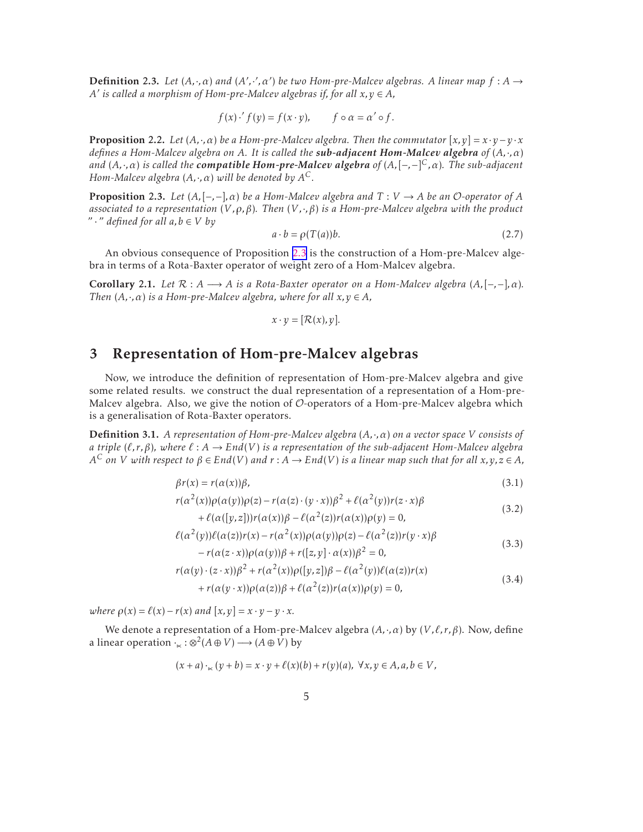<span id="page-4-0"></span>**Definition 2.3.** *Let*  $(A, \cdot, \alpha)$  *and*  $(A', \cdot', \alpha')$  *be two Hom-pre-Malcev algebras. A linear map*  $f : A \rightarrow$ *A*<sup> $\prime$ </sup> *is called a morphism of Hom-pre-Malcev algebras if, for all*  $x, y \in A$ *,* 

$$
f(x) \cdot f(y) = f(x \cdot y), \qquad f \circ \alpha = \alpha' \circ f.
$$

**Proposition 2.2.** *Let*  $(A, \cdot, \alpha)$  *be a Hom-pre-Malcev algebra. Then the commutator*  $[x, y] = x \cdot y - y \cdot x$ *defines a Hom-Malcev algebra on A. It is called the sub-adjacent Hom-Malcev algebra of* (*A,*·*,α*) *and* (*A,*·*,α*) *is called the compatible Hom-pre-Malcev algebra of* (*A,*[−*,*−] *<sup>C</sup>,α*)*. The sub-adjacent Hom-Malcev algebra* (*A,*·*,α*) *will be denoted by A C.*

**Proposition 2.3.** Let  $(A, [-,-], \alpha)$  be a Hom-Malcev algebra and  $T: V \to A$  be an O-operator of A *associated to a representation* (*V ,ρ,β*)*. Then* (*V ,*·*,β*) *is a Hom-pre-Malcev algebra with the product* "  $\cdot$  " *defined for all a, b*  $\in$  *V by* 

$$
a \cdot b = \rho(T(a))b. \tag{2.7}
$$

An obvious consequence of Proposition 2.3 is the construction of a Hom-pre-Malcev algebra in terms of a Rota-Baxter operator of weight zero of a Hom-Malcev algebra.

Corollary 2.1. *Let*  $\mathcal{R}: A \longrightarrow A$  *is a Rota-Baxter operator on a Hom-Malcev algebra*  $(A, [-,-], \alpha)$ *. Then*  $(A, \cdot, \alpha)$  *is a Hom-pre-Malcev algebra, where for all*  $x, y \in A$ ,

$$
x \cdot y = [\mathcal{R}(x), y].
$$

### 3 Representation of Hom-pre-Malcev algebras

Now, we introduce the definition of representation of Hom-pre-Malcev algebra and give some related results. we construct the dual representation of a representation of a Hom-pre-Malcev algebra. Also, we give the notion of  $O$ -operators of a Hom-pre-Malcev algebra which is a generalisation of Rota-Baxter operators.

Definition 3.1. *A representation of Hom-pre-Malcev algebra* (*A,*·*,α*) *on a vector space V consists of a triple*  $(\ell, r, \beta)$ *, where*  $\ell : A \to End(V)$  *is a representation of the sub-adjacent Hom-Malcev algebra*  $A^C$  *on V with respect to*  $\beta$  *∈ End*(*V*) and  $r$  :  $A \to End(V)$  is a linear map such that for all  $x,y,z$  ∈  $A$ ,

$$
\beta r(x) = r(\alpha(x))\beta,\tag{3.1}
$$

$$
r(\alpha^{2}(x))\rho(\alpha(y))\rho(z) - r(\alpha(z)\cdot(y\cdot x))\beta^{2} + \ell(\alpha^{2}(y))r(z\cdot x)\beta
$$
\n(3.2)

+ 
$$
\ell(\alpha([y, z]))r(\alpha(x))\beta - \ell(\alpha^2(z))r(\alpha(x))\rho(y) = 0,
$$
  
\n $\ell(\alpha^2(y))\ell(\alpha(z))r(x) - r(\alpha^2(x))\rho(\alpha(y))\rho(z) - \ell(\alpha^2(z))r(y \cdot x)\beta$ 

$$
-r(\alpha(z \cdot x))\rho(\alpha(y))\beta + r([z, y] \cdot \alpha(x))\beta^2 = 0,
$$
\n(3.3)

$$
r(\alpha(y)\cdot(z\cdot x))\beta^2 + r(\alpha^2(x))\rho([y,z])\beta - \ell(\alpha^2(y))\ell(\alpha(z))r(x)
$$
  
+ 
$$
r(\alpha(y\cdot x))\rho(\alpha(z))\beta + \ell(\alpha^2(z))r(\alpha(x))\rho(y) = 0,
$$
 (3.4)

*where*  $\rho(x) = \ell(x) - r(x)$  *and*  $[x, y] = x \cdot y - y \cdot x$ *.* 

We denote a representation of a Hom-pre-Malcev algebra (*A,*·*,α*) by (*V ,ℓ, r,β*). Now, define a linear operation  $\cdot_{\ltimes} : \otimes^2 (A \oplus V) \longrightarrow (A \oplus V)$  by

$$
(x+a)\cdot_{\ltimes}(y+b)=x\cdot y+\ell(x)(b)+r(y)(a),\ \forall x,y\in A, a,b\in V,
$$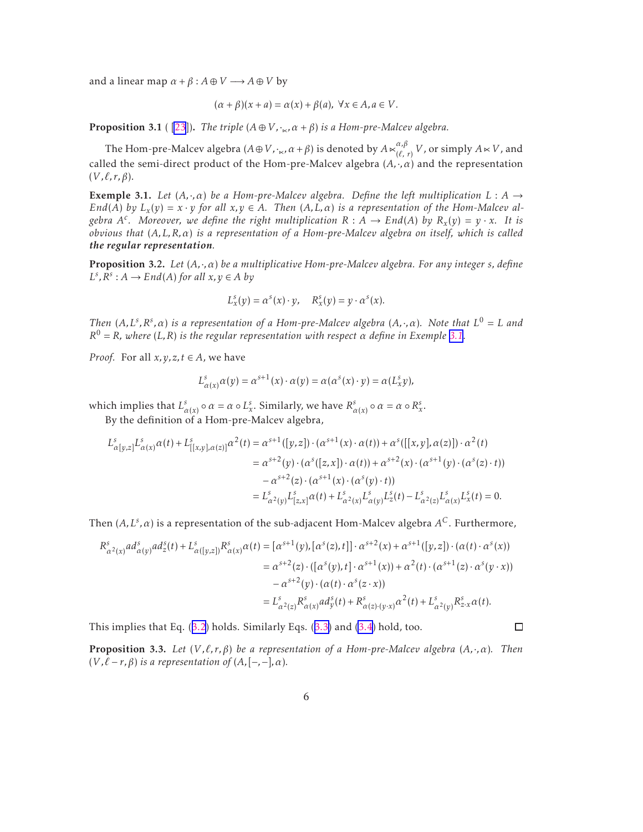<span id="page-5-0"></span>and a linear map  $\alpha + \beta : A \oplus V \longrightarrow A \oplus V$  by

$$
(\alpha + \beta)(x + a) = \alpha(x) + \beta(a), \ \forall x \in A, a \in V.
$$

**Proposition 3.1** ( [\[23](#page-22-0)]). *The triple*  $(A \oplus V, \cdot_{\kappa}, \alpha + \beta)$  *is a Hom-pre-Malcev algebra.* 

The Hom-pre-Malcev algebra  $(A \oplus V, \cdot_{\ltimes}, \alpha + \beta)$  is denoted by  $A \ltimes_{(\ell)}^{\alpha, \beta}$  $\int_{(\ell, r)}^{\alpha, \beta} V$ , or simply  $A \ltimes V$ , and called the semi-direct product of the Hom-pre-Malcev algebra  $(A, \cdot, \alpha)$  and the representation (*V ,ℓ, r,β*).

**Exemple 3.1.** Let  $(A, \cdot, \alpha)$  be a Hom-pre-Malcev algebra. Define the left multiplication  $L : A \rightarrow$ *End*(*A*) *by*  $L_x(y) = x \cdot y$  *for all*  $x, y \in A$ *. Then*  $(A, L, \alpha)$  *is a representation of the Hom-Malcev algebra*  $A^c$ *.* Moreover, we define the right multiplication  $R : A \to End(A)$  by  $R_x(y) = y \cdot x$ *. It is obvious that* (*A,L,R,α*) *is a representation of a Hom-pre-Malcev algebra on itself, which is called the regular representation.*

Proposition 3.2. *Let* (*A,*·*,α*) *be a multiplicative Hom-pre-Malcev algebra. For any integer s, define*  $L^s$ ,  $R^s$  :  $A \to End(A)$  *for all*  $x, y \in A$  *by* 

$$
L_x^s(y) = \alpha^s(x) \cdot y, \quad R_x^s(y) = y \cdot \alpha^s(x).
$$

*Then*  $(A, L^s, R^s, \alpha)$  *is a representation of a Hom-pre-Malcev algebra*  $(A, \cdot, \alpha)$ *. Note that*  $L^0 = L$  *and*  $R^0 = R$ *, where* (*L,R*) *is the regular representation with respect α define in Exemple* 3.1.

*Proof.* For all  $x, y, z, t \in A$ , we have

$$
L_{\alpha(x)}^s \alpha(y) = \alpha^{s+1}(x) \cdot \alpha(y) = \alpha(\alpha^s(x) \cdot y) = \alpha(L_x^s y),
$$

which implies that  $L^s_{\alpha(x)} \circ \alpha = \alpha \circ L^s_x$ . Similarly, we have  $R^s_{\alpha(x)} \circ \alpha = \alpha \circ R^s_x$ .

By the definition of a Hom-pre-Malcev algebra,

$$
L_{\alpha[y,z]}^{s} L_{\alpha(x)}^s \alpha(t) + L_{[[x,y],\alpha(z)]}^{s} \alpha^{2}(t) = \alpha^{s+1} ([y,z]) \cdot (\alpha^{s+1}(x) \cdot \alpha(t)) + \alpha^{s}([[x,y],\alpha(z)]) \cdot \alpha^{2}(t)
$$
  
\n
$$
= \alpha^{s+2}(y) \cdot (\alpha^{s}([z,x]) \cdot \alpha(t)) + \alpha^{s+2}(x) \cdot (\alpha^{s+1}(y) \cdot (\alpha^{s}(z) \cdot t))
$$
  
\n
$$
- \alpha^{s+2}(z) \cdot (\alpha^{s+1}(x) \cdot (\alpha^{s}(y) \cdot t))
$$
  
\n
$$
= L_{\alpha^{2}(y)}^{s} L_{[z,x]}^{s} \alpha(t) + L_{\alpha^{2}(x)}^{s} L_{\alpha(y)}^{s} L_{z}^{s}(t) - L_{\alpha^{2}(z)}^{s} L_{\alpha(x)}^{s} L_{x}^{s}(t) = 0.
$$

Then (*A,L<sup>s</sup> ,α*) is a representation of the sub-adjacent Hom-Malcev algebra *A <sup>C</sup>*. Furthermore,

$$
R_{\alpha^{2}(x)}^{s}ad_{\alpha(y)}^{s}ad_{z}^{s}(t) + L_{\alpha([y,z])}^{s}R_{\alpha(x)}^{s} \alpha(t) = [\alpha^{s+1}(y), [\alpha^{s}(z), t]] \cdot \alpha^{s+2}(x) + \alpha^{s+1}([y,z]) \cdot (\alpha(t) \cdot \alpha^{s}(x))
$$
  
\n
$$
= \alpha^{s+2}(z) \cdot ([\alpha^{s}(y), t] \cdot \alpha^{s+1}(x)) + \alpha^{2}(t) \cdot (\alpha^{s+1}(z) \cdot \alpha^{s}(y \cdot x))
$$
  
\n
$$
- \alpha^{s+2}(y) \cdot (\alpha(t) \cdot \alpha^{s}(z \cdot x))
$$
  
\n
$$
= L_{\alpha^{2}(z)}^{s}R_{\alpha(x)}^{s}ad_{y}^{s}(t) + R_{\alpha(z)(y \cdot x)}^{s} \alpha^{2}(t) + L_{\alpha^{2}(y)}^{s}R_{z \cdot x}^{s} \alpha(t).
$$

This implies that Eq.([3.2](#page-4-0)) holds. Similarly Eqs.([3.3\)](#page-4-0) and [\(3.4\)](#page-4-0) hold, too.

 $\Box$ 

Proposition 3.3. *Let* (*V ,ℓ, r,β*) *be a representation of a Hom-pre-Malcev algebra* (*A,*·*,α*)*. Then*  $(V, \ell - r, \beta)$  *is a representation of*  $(A, [-,-], \alpha)$ *.*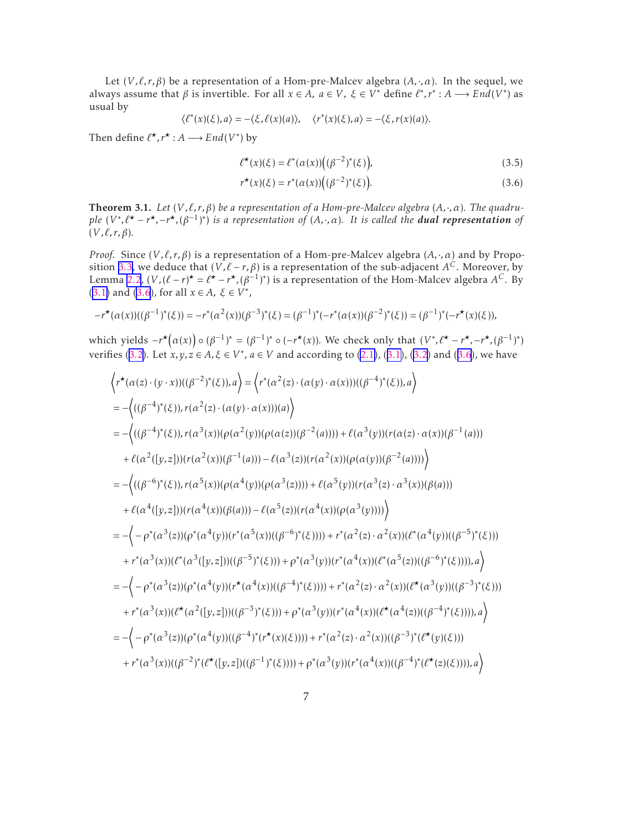<span id="page-6-0"></span>Let  $(V, \ell, r, \beta)$  be a representation of a Hom-pre-Malcev algebra  $(A, \cdot, \alpha)$ . In the sequel, we always assume that  $\beta$  is invertible. For all  $x \in A$ ,  $a \in V$ ,  $\xi \in V^*$  define  $\ell^*, r^* : A \longrightarrow End(V^*)$  as usual by

$$
\langle \ell^*(x)(\xi), a \rangle = -\langle \xi, \ell(x)(a) \rangle, \quad \langle r^*(x)(\xi), a \rangle = -\langle \xi, r(x)(a) \rangle.
$$

Then define  $\ell^{\star}, r^{\star} : A \longrightarrow End(V^*)$  by

$$
\ell^{\star}(x)(\xi) = \ell^*(\alpha(x))\big((\beta^{-2})^*(\xi)\big),\tag{3.5}
$$

$$
r^{\star}(x)(\xi) = r^*(\alpha(x))((\beta^{-2})^*(\xi)).
$$
\n(3.6)

Theorem 3.1. *Let* (*V ,ℓ, r,β*) *be a representation of a Hom-pre-Malcev algebra* (*A,*·*,α*)*. The quadru*ple  $(V^*,\ell^{\star}-r^{\star},-r^{\star},(\beta^{-1})^*)$  is a representation of  $(A,\cdot,\alpha)$ . It is called the **dual representation** of (*V ,ℓ, r,β*)*.*

*Proof.* Since (*V ,ℓ, r,β*) is a representation of a Hom-pre-Malcev algebra (*A,*·*,α*) and by Proposition [3.3](#page-5-0), we deduce that (*V ,ℓ* − *r,β*) is a representation of the sub-adjacent *A <sup>C</sup>*. Moreover, by Lemma [2.2](#page-3-0),  $(V, (\ell - r)^{\star} = \ell^{\star} - r^{\star}, (\beta^{-1})^{\star})$  is a representation of the Hom-Malcev algebra  $A^C$ . By [\(3.1\)](#page-4-0) and (3.6), for all  $x \in A$ ,  $\xi \in V^*$ ,

$$
-r^{\star}(\alpha(x))((\beta^{-1})^*(\xi)) = -r^*(\alpha^2(x))(\beta^{-3})^*(\xi) = (\beta^{-1})^*(-r^*(\alpha(x))(\beta^{-2})^*(\xi)) = (\beta^{-1})^*(-r^{\star}(x)(\xi)),
$$

which yields  $-r^{\star}(\alpha(x)) \circ (\beta^{-1})^* = (\beta^{-1})^* \circ (-r^{\star}(x))$ . We check only that  $(V^*, \ell^{\star} - r^{\star}, -r^{\star}, (\beta^{-1})^*)$ verifies([3.2](#page-4-0)). Let *x*, *y*, *z* ∈ *A*, *ξ* ∈ *V*<sup>\*</sup>, *a* ∈ *V* and according to [\(2.1\)](#page-2-0), ([3.1\)](#page-4-0), (3.2) and (3.6), we have

$$
\left\langle r^{*}(\alpha(z)\cdot(y\cdot x))((\beta^{-2})^{*}(\xi)),a\right\rangle = \left\langle r^{*}(\alpha^{2}(z)\cdot(\alpha(y)\cdot\alpha(x)))((\beta^{-4})^{*}(\xi)),a\right\rangle
$$
  
\n
$$
= -\left\langle ((\beta^{-4})^{*}(\xi)),r(\alpha^{2}(z)\cdot(\alpha(y)\cdot\alpha(x)))(a)\right\rangle
$$
  
\n
$$
= -\left\langle ((\beta^{-4})^{*}(\xi)),r(\alpha^{3}(x))(\rho(\alpha^{2}(y))(\rho(\alpha(z))(\beta^{-2}(a)))) + \ell(\alpha^{3}(y)) (r(\alpha(z)\cdot\alpha(x))(\beta^{-1}(a)))
$$
  
\n
$$
+ \ell(\alpha^{2}([y,z])) (r(\alpha^{2}(x))(\beta^{-1}(a))) - \ell(\alpha^{3}(z)) (r(\alpha^{2}(x))(\rho(\alpha(y))(\beta^{-2}(a))))\right\rangle
$$
  
\n
$$
= -\left\langle ((\beta^{-6})^{*}(\xi)),r(\alpha^{5}(x))(\rho(\alpha^{4}(y))(\rho(\alpha^{3}(z)))) + \ell(\alpha^{5}(y)) (r(\alpha^{3}(z)\cdot\alpha^{3}(x))(\beta(a)))
$$
  
\n
$$
+ \ell(\alpha^{4}([y,z])) (r(\alpha^{4}(x))(\beta(a))) - \ell(\alpha^{5}(z)) (r(\alpha^{4}(x))(\rho(\alpha^{3}(y))))\right\rangle
$$
  
\n
$$
= -\left\langle -\rho^{*}(\alpha^{3}(z))(\rho^{*}(\alpha^{4}(y)) (r^{*}(\alpha^{5}(x))((\beta^{-6})^{*}(\xi)))) + r^{*}(\alpha^{2}(z)\cdot\alpha^{2}(x)) (r^{*}(\alpha^{4}(y))((\beta^{-5})^{*}(\xi)))
$$
  
\n
$$
+ r^{*}(\alpha^{3}(x)) (r^{*}(\alpha^{3}([y,z]))((\beta^{-5})^{*}(\xi))) + \rho^{*}(\alpha^{3}(y)) (r^{*}(\alpha^{4}(x))((r^{*}(\alpha^{5}(z))((\beta^{-6})^{*}(\xi))))),a\right\rangle
$$
  
\n
$$
= -\left\langle -\rho^{*}(\alpha^{3}(z))(\rho^{*}(\alpha^{4}(y)) (r^{*}(\alpha^{4}(x))((\beta^{-4})^{*}(\xi)))) + r^{*}(\alpha^{2}(z)\cdot\alpha^{2}(x))((r^{*}
$$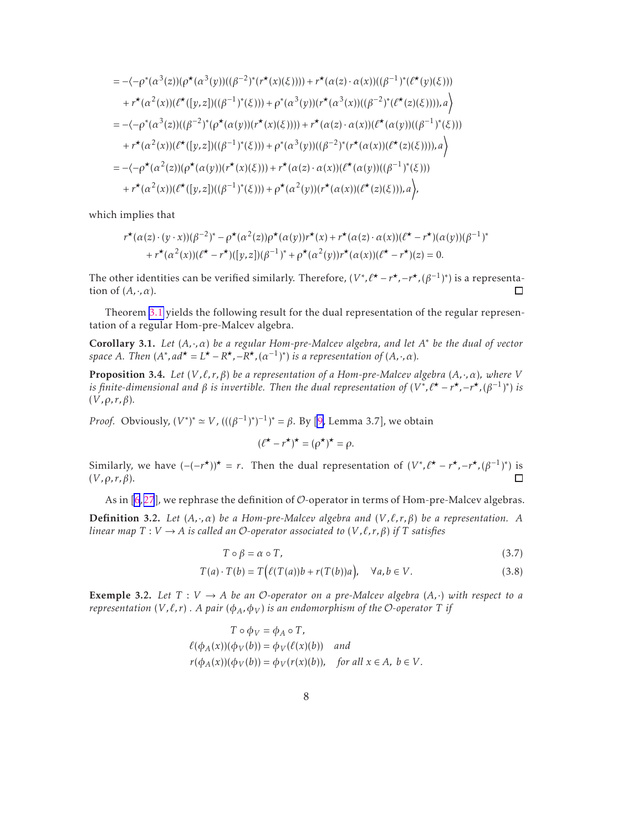<span id="page-7-0"></span>
$$
= -\langle -\rho^*(\alpha^3(z))(\rho^*(\alpha^3(y))((\beta^{-2})^*(r^*(x)(\xi)))) + r^*(\alpha(z) \cdot \alpha(x))((\beta^{-1})^*(\ell^*(y)(\xi)))
$$
  
\n
$$
+ r^*(\alpha^2(x))(\ell^*([y,z])((\beta^{-1})^*(\xi))) + \rho^*(\alpha^3(y))(r^*(\alpha^3(x))((\beta^{-2})^*(\ell^*(z)(\xi))))), a \rangle
$$
  
\n
$$
= -\langle -\rho^*(\alpha^3(z))((\beta^{-2})^*(\rho^*(\alpha(y))(r^*(x)(\xi)))) + r^*(\alpha(z) \cdot \alpha(x))(\ell^*(\alpha(y))((\beta^{-1})^*(\xi)))
$$
  
\n
$$
+ r^*(\alpha^2(x))(\ell^*([y,z])((\beta^{-1})^*(\xi))) + \rho^*(\alpha^3(y))((\beta^{-2})^*(r^*(\alpha(x))(\ell^*(z)(\xi))))), a \rangle
$$
  
\n
$$
= -\langle -\rho^*(\alpha^2(z))(\rho^*(\alpha(y))(r^*(x)(\xi))) + r^*(\alpha(z) \cdot \alpha(x))(\ell^*(\alpha(y))((\beta^{-1})^*(\xi)))
$$
  
\n
$$
+ r^*(\alpha^2(x))(\ell^*([y,z])((\beta^{-1})^*(\xi))) + \rho^*(\alpha^2(y))(r^*(\alpha(x))(\ell^*(z)(\xi))), a \rangle,
$$

which implies that

$$
r^{\star}(\alpha(z)\cdot(y\cdot x))(\beta^{-2})^* - \rho^{\star}(\alpha^2(z))\rho^{\star}(\alpha(y))r^{\star}(x) + r^{\star}(\alpha(z)\cdot\alpha(x))(\ell^{\star} - r^{\star})(\alpha(y))(\beta^{-1})^*
$$
  
+ 
$$
r^{\star}(\alpha^2(x))(\ell^{\star} - r^{\star})([y, z])(\beta^{-1})^* + \rho^{\star}(\alpha^2(y))r^{\star}(\alpha(x))(\ell^{\star} - r^{\star})(z) = 0.
$$

The other identities can be verified similarly. Therefore,  $(V^*, \ell^{\star}-r^{\star}, -r^{\star}, (\beta^{-1})^*)$  is a representation of  $(A, \cdot, \alpha)$ .  $\Box$ 

Theorem [3.1](#page-6-0) yields the following result for the dual representation of the regular representation of a regular Hom-pre-Malcev algebra.

Corollary 3.1. *Let* (*A,*·*,α*) *be a regular Hom-pre-Malcev algebra, and let A* <sup>∗</sup> *be the dual of vector space A*. Then  $(A^*, ad^* = L^* - R^*, -R^*, (a^{-1})^*)$  *is a representation of*  $(A, \cdot, \alpha)$ *.* 

Proposition 3.4. *Let* (*V ,ℓ, r,β*) *be a representation of a Hom-pre-Malcev algebra* (*A,*·*,α*)*, where V is finite-dimensional and β is invertible. Then the dual representation of*  $(V^*, \ell^{\star} - r^{\star}, -r^{\star}, (\beta^{-1})^*)$  *is* (*V ,ρ, r,β*)*.*

*Proof.* Obviously,  $(V^*)^* \simeq V$ ,  $(((β^{-1})^*)^{-1})^* = β$ . By [\[9,](#page-21-0) Lemma 3.7], we obtain

$$
(\ell^{\star} - r^{\star})^{\star} = (\rho^{\star})^{\star} = \rho.
$$

Similarly, we have  $(-(-r^*)^* = r$ . Then the dual representation of  $(V^*, \ell^* - r^*, -r^*, (\beta^{-1})^*)$  is (*V ,ρ, r,β*).  $\Box$ 

Asin  $[6,27]$  $[6,27]$  $[6,27]$  $[6,27]$  $[6,27]$ , we rephrase the definition of  $\mathcal O$ -operator in terms of Hom-pre-Malcev algebras.

Definition 3.2. *Let* (*A,*·*,α*) *be a Hom-pre-Malcev algebra and* (*V ,ℓ, r,β*) *be a representation. A linear map*  $T: V \to A$  *is called an O-operator associated to*  $(V, \ell, r, \beta)$  *if*  $T$  *satisfies* 

$$
T \circ \beta = \alpha \circ T,\tag{3.7}
$$

$$
T(a) \cdot T(b) = T(e(T(a))b + r(T(b))a), \quad \forall a, b \in V.
$$
\n(3.8)

**Exemple 3.2.** Let  $T: V \to A$  be an O-operator on a pre-Malcev algebra  $(A, \cdot)$  with respect to a *representation*  $(V, \ell, r)$ . A pair  $(\phi_A, \phi_V)$  is an endomorphism of the O-operator T *if* 

$$
T \circ \phi_V = \phi_A \circ T,
$$
  
\n
$$
\ell(\phi_A(x))(\phi_V(b)) = \phi_V(\ell(x)(b)) \text{ and}
$$
  
\n
$$
r(\phi_A(x))(\phi_V(b)) = \phi_V(r(x)(b)), \text{ for all } x \in A, b \in V.
$$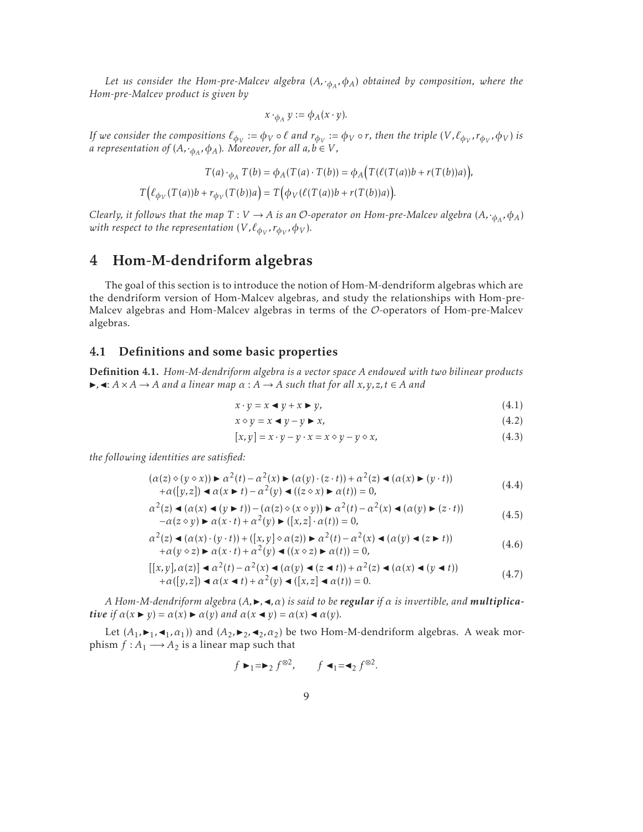<span id="page-8-0"></span>*Let us consider the Hom-pre-Malcev algebra* (*A,*·*φ<sup>A</sup> ,φA*) *obtained by composition, where the Hom-pre-Malcev product is given by*

$$
x \cdot_{\phi_A} y := \phi_A(x \cdot y).
$$

If we consider the compositions  $\ell_{\phi_V}:=\phi_V\circ\ell$  and  $r_{\phi_V}:=\phi_V\circ r$ , then the triple  $(V,\ell_{\phi_V},r_{\phi_V},\phi_V)$  is *a representation of*  $(A, \cdot_{\phi_A}, \phi_A)$ *. Moreover, for all*  $a, b \in V$ *,* 

$$
T(a) \cdot_{\phi_A} T(b) = \phi_A(T(a) \cdot T(b)) = \phi_A(T(\ell(T(a))b + r(T(b))a)),
$$
  

$$
T(\ell_{\phi_V}(T(a))b + r_{\phi_V}(T(b))a) = T(\phi_V(\ell(T(a))b + r(T(b))a)).
$$

 $C$ learly, it follows that the map  $T:V\to A$  is an  ${\cal O}$ -operator on Hom-pre-Malcev algebra  $(A,\cdot_{\phi_A},\phi_A)$  $w$ ith respect to the representation  $(V,\ell_{\phi_V},r_{\phi_V},\phi_V).$ 

### 4 Hom-M-dendriform algebras

The goal of this section is to introduce the notion of Hom-M-dendriform algebras which are the dendriform version of Hom-Malcev algebras, and study the relationships with Hom-pre-Malcev algebras and Hom-Malcev algebras in terms of the O-operators of Hom-pre-Malcev algebras.

### 4.1 Definitions and some basic properties

Definition 4.1. *Hom-M-dendriform algebra is a vector space A endowed with two bilinear products*  $\blacktriangleright$ ,  $\blacktriangleleft$ :  $A \times A \rightarrow A$  *and a linear map*  $\alpha : A \rightarrow A$  *such that for all*  $x, y, z, t \in A$  *and* 

$$
x \cdot y = x \blacktriangleleft y + x \blacktriangleright y,\tag{4.1}
$$

$$
x \diamond y = x \blacktriangleleft y - y \blacktriangleright x,\tag{4.2}
$$

$$
[x, y] = x \cdot y - y \cdot x = x \diamond y - y \diamond x,\tag{4.3}
$$

*the following identities are satisfied:*

$$
(\alpha(z) \diamond (y \diamond x)) \blacktriangleright \alpha^2(t) - \alpha^2(x) \blacktriangleright (\alpha(y) \cdot (z \cdot t)) + \alpha^2(z) \blacktriangleleft (\alpha(x) \blacktriangleright (y \cdot t)) + \alpha([y, z]) \blacktriangleleft \alpha(x \blacktriangleright t) - \alpha^2(y) \blacktriangleleft ((z \diamond x) \blacktriangleright \alpha(t)) = 0,
$$
(4.4)

$$
\alpha^{2}(z) \triangleleft (\alpha(x) \triangleleft (y \triangleright t)) - (\alpha(z) \diamond (x \diamond y)) \triangleright \alpha^{2}(t) - \alpha^{2}(x) \triangleleft (\alpha(y) \triangleright (z \cdot t)) -\alpha(z \diamond y) \triangleright \alpha(x \cdot t) + \alpha^{2}(y) \triangleright ([x, z] \cdot \alpha(t)) = 0,
$$
\n(4.5)

$$
\alpha^{2}(z) \triangleleft (\alpha(x) \cdot (y \cdot t)) + ([x, y] \diamond \alpha(z)) \triangleright \alpha^{2}(t) - \alpha^{2}(x) \triangleleft (\alpha(y) \triangleleft (z \triangleright t)) \n+ \alpha(y \diamond z) \triangleright \alpha(x \cdot t) + \alpha^{2}(y) \triangleleft ((x \diamond z) \triangleright \alpha(t)) = 0,
$$
\n(4.6)

$$
[[x,y],\alpha(z)] \triangleleft \alpha^2(t) - \alpha^2(x) \triangleleft (\alpha(y) \triangleleft (z \triangleleft t) + \alpha^2(z) \triangleleft (\alpha(x) \triangleleft (y \triangleleft t)) + \alpha([y,z]) \triangleleft (\alpha(x \triangleleft t) + \alpha^2(y) \triangleleft ([x,z] \triangleleft \alpha(t)) = 0. \tag{4.7}
$$

 $A$  *Hom-M-dendriform algebra*  $(A, \blacktriangleright, \blacktriangleleft, \alpha)$  *is said to be regular if*  $\alpha$  *is invertible, and multiplicative if*  $\alpha(x \triangleright y) = \alpha(x) \triangleright \alpha(y)$  and  $\alpha(x \triangleleft y) = \alpha(x) \triangleleft \alpha(y)$ .

Let  $(A_1, \blacktriangleright_1, \blacktriangleleft_1, \alpha_1)$  and  $(A_2, \blacktriangleright_2, \blacktriangleleft_2, \alpha_2)$  be two Hom-M-dendriform algebras. A weak morphism  $f : A_1 \longrightarrow A_2$  is a linear map such that

$$
f \rightharpoonup_1 = \rightharpoonup_2 f^{\otimes 2}, \qquad f \rightharpoonup_1 = \rightharpoonup_2 f^{\otimes 2}.
$$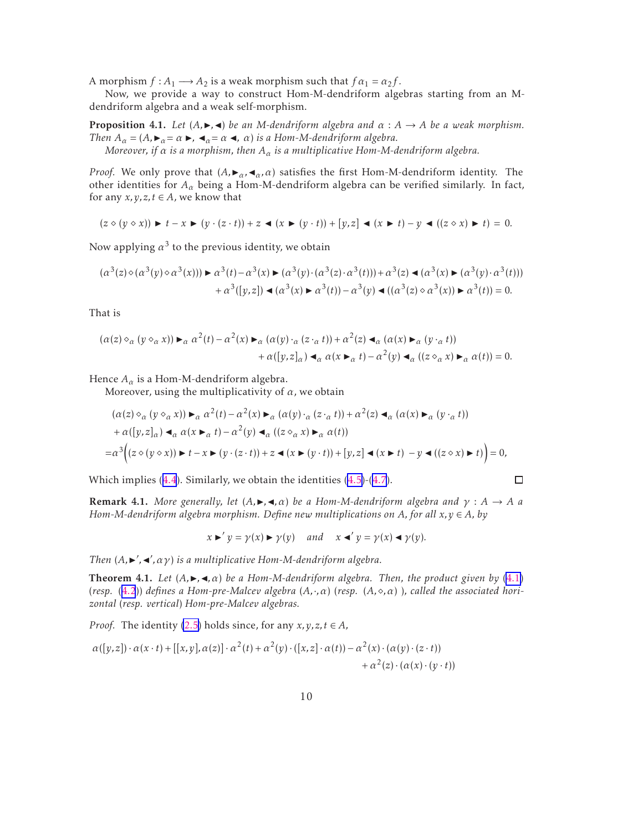<span id="page-9-0"></span>A morphism  $f : A_1 \longrightarrow A_2$  is a weak morphism such that  $f \alpha_1 = \alpha_2 f$ .

Now, we provide a way to construct Hom-M-dendriform algebras starting from an Mdendriform algebra and a weak self-morphism.

**Proposition 4.1.** *Let*  $(A, \blacktriangleright, \blacktriangleleft)$  *be an M-dendriform algebra and*  $\alpha : A \rightarrow A$  *be a weak morphism. Then*  $A_{\alpha} = (A, \blacktriangleright_{\alpha} = \alpha \blacktriangleright, \blacktriangleleft_{\alpha} = \alpha \blacktriangleleft, \alpha)$  *is a Hom-M-dendriform algebra. Moreover, if α is a morphism, then A<sup>α</sup> is a multiplicative Hom-M-dendriform algebra.*

*Proof.* We only prove that  $(A, \blacktriangleright_{\alpha}, \blacktriangleleft_{\alpha}, \alpha)$  satisfies the first Hom-M-dendriform identity. The other identities for *A<sup>α</sup>* being a Hom-M-dendriform algebra can be verified similarly. In fact, for any  $x, y, z, t \in A$ , we know that

 $(z \diamond (y \diamond x))$   $\triangleright t - x \triangleright (y \cdot (z \cdot t)) + z \triangleleft (x \triangleright (y \cdot t)) + [y, z] \triangleleft (x \triangleright t) - y \triangleleft ((z \diamond x) \triangleright t) = 0.$ 

Now applying  $\alpha^3$  to the previous identity, we obtain

$$
(\alpha^3(z)\diamond(\alpha^3(y)\diamond\alpha^3(x)))\blacktriangleright \alpha^3(t)-\alpha^3(x)\blacktriangleright(\alpha^3(y)\cdot(\alpha^3(z)\cdot\alpha^3(t)))+\alpha^3(z)\blacktriangleleft(\alpha^3(x)\blacktriangleright(\alpha^3(y)\cdot\alpha^3(t)))+\alpha^3([y,z])\blacktriangleleft(\alpha^3(x)\blacktriangleright\alpha^3(t))-\alpha^3(y)\blacktriangleleft((\alpha^3(z)\diamond\alpha^3(x))\blacktriangleright\alpha^3(t))=0.
$$

That is

$$
(\alpha(z) \diamond_{\alpha} (y \diamond_{\alpha} x)) \blacktriangleright_{\alpha} \alpha^{2}(t) - \alpha^{2}(x) \blacktriangleright_{\alpha} (\alpha(y) \cdot_{\alpha} (z \cdot_{\alpha} t)) + \alpha^{2}(z) \blacktriangleleft_{\alpha} (\alpha(x) \blacktriangleright_{\alpha} (y \cdot_{\alpha} t)) + \alpha((y, z]_{\alpha}) \blacktriangleleft_{\alpha} \alpha(x \blacktriangleright_{\alpha} t) - \alpha^{2}(y) \blacktriangleleft_{\alpha} ((z \diamond_{\alpha} x) \blacktriangleright_{\alpha} \alpha(t)) = 0.
$$

Hence  $A_\alpha$  is a Hom-M-dendriform algebra.

Moreover, using the multiplicativity of *α*, we obtain

$$
(\alpha(z) \diamond_{\alpha} (y \diamond_{\alpha} x)) \blacktriangleright_{\alpha} \alpha^{2}(t) - \alpha^{2}(x) \blacktriangleright_{\alpha} (\alpha(y) \cdot_{\alpha} (z \cdot_{\alpha} t)) + \alpha^{2}(z) \blacktriangleleft_{\alpha} (\alpha(x) \blacktriangleright_{\alpha} (y \cdot_{\alpha} t))
$$
  
+  $\alpha([y, z]_{\alpha}) \blacktriangleleft_{\alpha} \alpha(x \blacktriangleright_{\alpha} t) - \alpha^{2}(y) \blacktriangleleft_{\alpha} ((z \diamond_{\alpha} x) \blacktriangleright_{\alpha} \alpha(t))$   
=  $\alpha^{3}((z \diamond (y \diamond x)) \blacktriangleright t - x \blacktriangleright (y \cdot (z \cdot t)) + z \blacktriangleleft (x \blacktriangleright (y \cdot t)) + [y, z] \blacktriangleleft (x \blacktriangleright t) - y \blacktriangleleft ((z \diamond x) \blacktriangleright t) \blacktriangleleft_{\alpha} (y \cdot t))$   
= 0,

Which implies([4.4](#page-8-0)). Similarly, we obtain the identities [\(4.5\)](#page-8-0)-([4.7](#page-8-0)).

**Remark 4.1.** *More generally, let*  $(A, \blacktriangleright, \blacktriangleleft, \alpha)$  *be a Hom-M-dendriform algebra and*  $\gamma : A \to A$  *a Hom-M-dendriform algebra morphism. Define new multiplications on A, for all x,y* ∈ *A, by*

$$
x \triangleright y = \gamma(x) \triangleright \gamma(y)
$$
 and  $x \blacktriangleleft y = \gamma(x) \blacktriangleleft \gamma(y)$ .

 $\Box$ 

*Then*  $(A, \blacktriangleright', \blacktriangleleft', \alpha \gamma)$  *is a multiplicative Hom-M-dendriform algebra.* 

**Theorem 4.1.** Let  $(A, \blacktriangleright, \blacktriangleleft, \alpha)$  be a Hom-M-dendriform algebra. Then, the product given by [\(4.1\)](#page-8-0) (*resp.* ([4.2](#page-8-0))) *defines a Hom-pre-Malcev algebra* (*A,*·*,α*) (*resp.* (*A,*⋄*,α*) )*, called the associated horizontal* (*resp. vertical*) *Hom-pre-Malcev algebras.*

*Proof.* The identity [\(2.5\)](#page-3-0) holds since, for any  $x, y, z, t \in A$ ,

$$
\alpha([y,z]) \cdot \alpha(x \cdot t) + [[x,y], \alpha(z)] \cdot \alpha^2(t) + \alpha^2(y) \cdot ([x,z] \cdot \alpha(t)) - \alpha^2(x) \cdot (\alpha(y) \cdot (z \cdot t)) + \alpha^2(z) \cdot (\alpha(x) \cdot (y \cdot t))
$$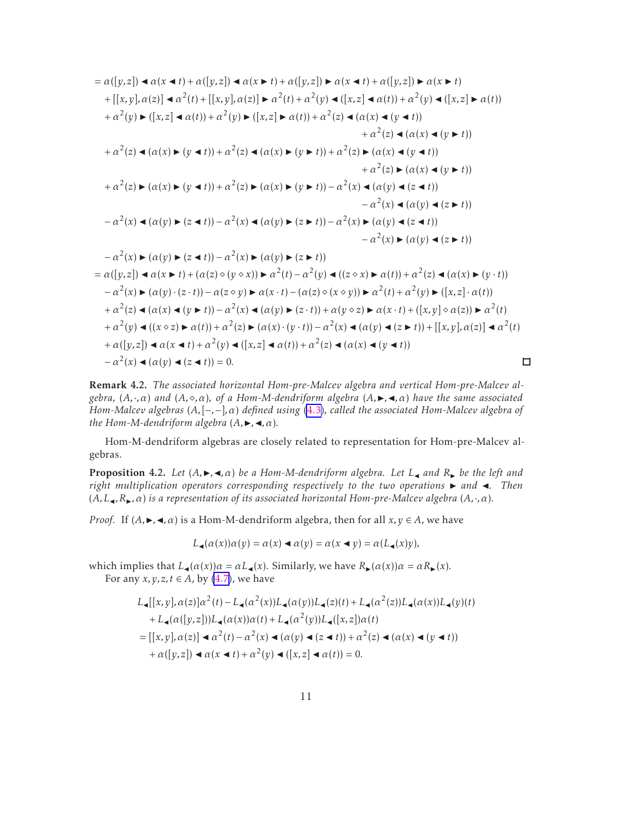<span id="page-10-0"></span>
$$
= \alpha([y,z]) \blacktriangleleft \alpha(x \blacktriangleleft t) + \alpha([y,z]) \blacktriangleleft \alpha(x \blacktriangleleft t) + \alpha([y,z]) \blacktriangleright \alpha(x \blacktriangleleft t) + \alpha([y,z]) \blacktriangleright \alpha(x \blacktriangleleft t)
$$
  
+ 
$$
[[x,y], \alpha(z)] \blacktriangleleft \alpha^2(t) + [[x,y], \alpha(z)] \blacktriangleright \alpha^2(t) + \alpha^2(y) \blacktriangleleft ([x,z] \blacktriangleleft \alpha(t)) + \alpha^2(y) \blacktriangleleft ([x,z] \blacktriangleleft \alpha(t))
$$
  
+ 
$$
\alpha^2(y) \blacktriangleleft ([x,z] \blacktriangleleft \alpha(t)) + \alpha^2(y) \blacktriangleleft ((x,z] \blacktriangleleft \alpha(t) + \alpha^2(z) \blacktriangleleft (\alpha(x) \blacktriangleleft (y \blacktriangleleft t))
$$
  
+ 
$$
\alpha^2(z) \blacktriangleleft (\alpha(x) \blacktriangleleft (y \blacktriangleleft t))
$$
  
+ 
$$
\alpha^2(z) \blacktriangleleft (\alpha(x) \blacktriangleleft (y \blacktriangleleft t))
$$
  
+ 
$$
\alpha^2(z) \blacktriangleleft (\alpha(x) \blacktriangleleft (y \blacktriangleleft t))
$$
  
+ 
$$
\alpha^2(z) \blacktriangleleft (\alpha(x) \blacktriangleleft (y \blacktriangleleft t))
$$
  
+ 
$$
\alpha^2(z) \blacktriangleleft (\alpha(x) \blacktriangleleft (y \blacktriangleleft t))
$$
  
+ 
$$
\alpha^2(z) \blacktriangleleft (\alpha(x) \blacktriangleleft (y \blacktriangleleft t))
$$
  
+ 
$$
\alpha^2(z) \blacktriangleleft (\alpha(x) \blacktriangleleft (y \blacktriangleleft t))
$$
  
+ 
$$
\alpha^2(z) \blacktriangleleft (\alpha(y) \blacktriangleleft (z \blacktriangleleft t))
$$
  
+ 
$$
\alpha^2(z) \blacktriangleleft (\alpha(y) \blacktriangleleft (z \blacktriangleleft t))
$$
  
- 
$$
\alpha^2(x) \blacktriangleleft (\alpha(y) \blacktriangleleft (z \blacktriangleleft t))
$$
  
- 
$$
\alpha^2(x) \blacktriangleleft (\alpha(y) \blacktriangleleft (z \blacktriangleleft t))
$$
  
- 
$$
\alpha^2(x) \blacktriangleleft (\alpha(y) \blacktriangleleft (z \blacktriangleleft t)) - \alpha^2(x) \blacktriangleleft (\alpha(y) \blacktriangleleft (z \blacktriangle t))
$$
  
- 
$$
\alpha^2(x) \blacktriangleleft (\alpha(y) \blacktriangleleft (z \blacktriangle t)) - \alpha^2(x) \
$$

Remark 4.2. *The associated horizontal Hom-pre-Malcev algebra and vertical Hom-pre-Malcev algebra,* (*A,*·*,α*) *and* (*A,*⋄*,α*)*, of a Hom-M-dendriform algebra* (*A,*◮*,*◭*,α*) *have the same associated Hom-Malcev algebras* (*A,*[−*,*−]*,α*) *defined using* [\(4.3\)](#page-8-0)*, called the associated Hom-Malcev algebra of the Hom-M-dendriform algebra*  $(A, \blacktriangleright, \blacktriangleleft, \alpha)$ *.* 

 $\Box$ 

Hom-M-dendriform algebras are closely related to representation for Hom-pre-Malcev algebras.

**Proposition 4.2.** Let  $(A, \triangleright, \triangleleft, \alpha)$  be a Hom-M-dendriform algebra. Let  $L_{\triangleleft}$  and  $R_{\triangleright}$  be the left and *right multiplication operators corresponding respectively to the two operations* ► and ◀*. Then*  $(A, L_{\bullet}, R_{\bullet}, \alpha)$  *is a representation of its associated horizontal Hom-pre-Malcev algebra*  $(A, \cdot, \alpha)$ *.* 

*Proof.* If  $(A, \triangleright, \triangleleft, \alpha)$  is a Hom-M-dendriform algebra, then for all  $x, y \in A$ , we have

$$
L_{\blacktriangleleft}(\alpha(x))\alpha(y) = \alpha(x) \blacktriangleleft \alpha(y) = \alpha(x \blacktriangleleft y) = \alpha(L_{\blacktriangleleft}(x)y),
$$

which implies that  $L_{\blacktriangleleft}(\alpha(x))\alpha = \alpha L_{\blacktriangleleft}(x)$ . Similarly, we have  $R_{\blacktriangleright}(\alpha(x))\alpha = \alpha R_{\blacktriangleright}(x)$ .

For any  $x, y, z, t \in A$ , by [\(4.7\)](#page-8-0), we have

$$
L_{\blacktriangleleft}[[x, y], \alpha(z)]\alpha^{2}(t) - L_{\blacktriangleleft}(\alpha^{2}(x))L_{\blacktriangleleft}(\alpha(y))L_{\blacktriangleleft}(z)(t) + L_{\blacktriangleleft}(\alpha^{2}(z))L_{\blacktriangleleft}(\alpha(x))L_{\blacktriangleleft}(y)(t) + L_{\blacktriangleleft}(\alpha([y, z]))L_{\blacktriangleleft}(\alpha(x))\alpha(t) + L_{\blacktriangleleft}(\alpha^{2}(y))L_{\blacktriangleleft}([x, z])\alpha(t) - [[x, y], \alpha(z)] \blacktriangleleft \alpha^{2}(t) - \alpha^{2}(x) \blacktriangleleft (\alpha(y) \blacktriangleleft (z \blacktriangleleft t)) + \alpha^{2}(z) \blacktriangleleft (\alpha(x) \blacktriangleleft (y \blacktriangleleft t)) + \alpha([y, z]) \blacktriangleleft \alpha(x \blacktriangleleft t) + \alpha^{2}(y) \blacktriangleleft ([x, z] \blacktriangleleft \alpha(t)) = 0.
$$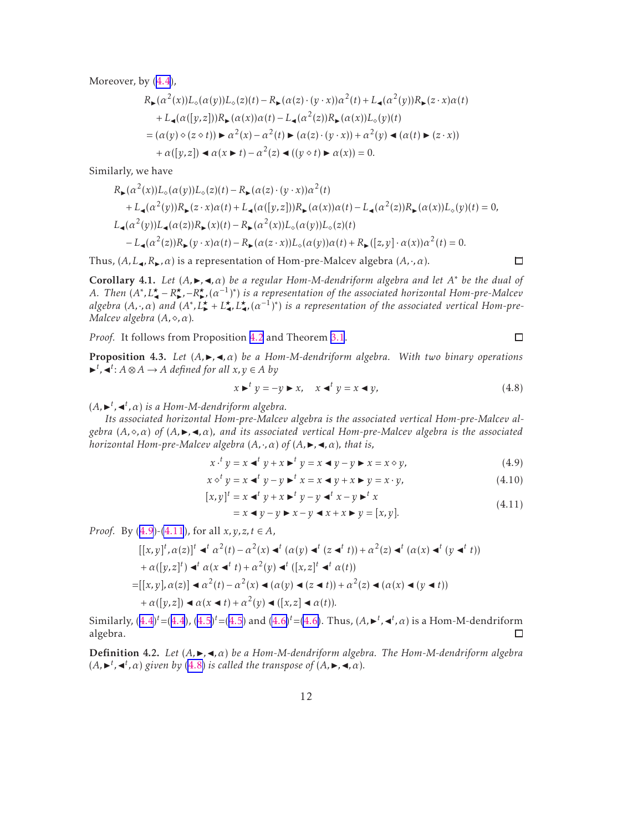Moreover, by([4.4](#page-8-0)),

$$
R_{\blacktriangleright}(\alpha^{2}(x))L_{\diamond}(\alpha(y))L_{\diamond}(z)(t) - R_{\blacktriangleright}(\alpha(z) \cdot (y \cdot x))\alpha^{2}(t) + L_{\blacktriangle}(\alpha^{2}(y))R_{\blacktriangleright}(z \cdot x)\alpha(t) + L_{\blacktriangle}(\alpha([y, z]))R_{\blacktriangleright}(\alpha(x))\alpha(t) - L_{\blacktriangle}(\alpha^{2}(z))R_{\blacktriangleright}(\alpha(x))L_{\diamond}(y)(t) = (\alpha(y) \diamond (z \diamond t)) \blacktriangleright \alpha^{2}(x) - \alpha^{2}(t) \blacktriangleright (\alpha(z) \cdot (y \cdot x)) + \alpha^{2}(y) \blacktriangleleft (\alpha(t) \blacktriangleright (z \cdot x)) + \alpha([y, z]) \blacktriangleleft \alpha(x \blacktriangleright t) - \alpha^{2}(z) \blacktriangleleft ((y \diamond t) \blacktriangleright \alpha(x)) = 0.
$$

Similarly, we have

$$
R_{\blacktriangleright}(\alpha^{2}(x))L_{\diamond}(\alpha(y))L_{\diamond}(z)(t) - R_{\blacktriangleright}(\alpha(z) \cdot (y \cdot x))\alpha^{2}(t) + L_{\blacktriangleleft}(\alpha^{2}(y))R_{\blacktriangleright}(z \cdot x)\alpha(t) + L_{\blacktriangleleft}(\alpha([y, z]))R_{\blacktriangleright}(\alpha(x))\alpha(t) - L_{\blacktriangleleft}(\alpha^{2}(z))R_{\blacktriangleright}(\alpha(x))L_{\diamond}(y)(t) = 0, L_{\blacktriangleleft}(\alpha^{2}(y))L_{\blacktriangleleft}(\alpha(z))R_{\blacktriangleright}(x)(t) - R_{\blacktriangleright}(\alpha^{2}(x))L_{\diamond}(\alpha(y))L_{\diamond}(z)(t) - L_{\blacktriangleleft}(\alpha^{2}(z))R_{\blacktriangleright}(y \cdot x)\alpha(t) - R_{\blacktriangleright}(\alpha(z \cdot x))L_{\diamond}(\alpha(y))\alpha(t) + R_{\blacktriangleright}([z, y] \cdot \alpha(x))\alpha^{2}(t) = 0.
$$

Thus,  $(A, L_{\bullet}, R_{\bullet}, \alpha)$  is a representation of Hom-pre-Malcev algebra  $(A, \cdot, \alpha)$ .

Corollary 4.1. *Let* (*A,*◮*,*◭*,α*) *be a regular Hom-M-dendriform algebra and let A* <sup>∗</sup> *be the dual of A*. Then  $(A^*, L^{\star}_{\bullet} - R^{\star}_{\bullet}, -R^{\star}_{\bullet}, (\alpha^{-1})^*$  is a representation of the associated horizontal Hom-pre-Malcev *algebra*  $(A, \cdot, \alpha)$  *and*  $(A^*, L^{\star}_{\bullet}, L^{\star}_{\bullet}, L^{\star}_{\bullet}, (\alpha^{-1})^*)$  *is a representation of the associated vertical Hom-pre-Malcev algebra* (*A,*⋄*,α*)*.*

*Proof.* It follows from Proposition [4.2](#page-10-0) and Theorem [3.1](#page-6-0).

**Proposition 4.3.** *Let*  $(A, \blacktriangleright, \blacktriangleleft, \alpha)$  *be a Hom-M-dendriform algebra. With two binary operations*  $\blacktriangleright$ <sup>t</sup>,  $\blacktriangleleft$ <sup>t</sup>: *A*  $\otimes$  *A*  $\rightarrow$  *A defined for all x*, *y* ∈ *A by* 

$$
x \triangleright^{t} y = -y \triangleright x, \quad x \triangleleft^{t} y = x \triangleleft y, \tag{4.8}
$$

 $(A, \rightarrow^{t}, \prec^{t}, \alpha)$  *is a Hom-M-dendriform algebra.* 

*Its associated horizontal Hom-pre-Malcev algebra is the associated vertical Hom-pre-Malcev al* $gebra(A, \diamond, \alpha)$  of  $(A, \triangleright, \triangleleft, \alpha)$ *, and its associated vertical Hom-pre-Malcev algebra is the associated horizontal Hom-pre-Malcev algebra*  $(A, \cdot, \alpha)$  *of*  $(A, \rightarrow, \prec, \alpha)$ *, that is,* 

$$
x \cdot^t y = x \cdot^t y + x \cdot^t y = x \cdot^t y - y \cdot^t x = x \cdot y,\tag{4.9}
$$

$$
x \diamond^{t} y = x \blacktriangleleft^{t} y - y \blacktriangleright^{t} x = x \blacktriangleleft y + x \blacktriangleright y = x \cdot y, \tag{4.10}
$$

$$
[x, y]^{t} = x \triangleleft^{t} y + x \triangleright^{t} y - y \triangleleft^{t} x - y \triangleright^{t} x
$$
  
=  $x \triangleleft y - y \triangleright x - y \triangleleft x + x \triangleright y = [x, y].$  (4.11)

*Proof.* By  $(4.9)$ - $(4.11)$ , for all  $x, y, z, t \in A$ ,

$$
[[x,y]^t, \alpha(z)]^t \triangleleft t^t \alpha^2(t) - \alpha^2(x) \triangleleft t^t (\alpha(y) \triangleleft t^t (z \triangleleft t^t)) + \alpha^2(z) \triangleleft t^t (\alpha(x) \triangleleft t^t (y \triangleleft t^t))
$$
  
+  $\alpha([y,z]^t) \triangleleft t^t \alpha(x \triangleleft t^t) + \alpha^2(y) \triangleleft t^t ([x,z]^t \triangleleft t^t \alpha(t))$   
=  $[[x,y], \alpha(z)] \triangleleft \alpha^2(t) - \alpha^2(x) \triangleleft (\alpha(y) \triangleleft (z \triangleleft t)) + \alpha^2(z) \triangleleft (\alpha(x) \triangleleft (y \triangleleft t))$   
+  $\alpha([y,z]) \triangleleft \alpha(x \triangleleft t) + \alpha^2(y) \triangleleft ([x,z] \triangleleft \alpha(t))$ .

Similarly, $(4.4)^t$  $(4.4)^t$  $(4.4)^t$  = (4.4),  $(4.5)^t$  $(4.5)^t$  $(4.5)^t$  = (4.5) and  $(4.6)^t$  $(4.6)^t$  = [\(4.6\)](#page-8-0). Thus,  $(A, \rightarrow t^t, \prec t^t, \alpha)$  is a Hom-M-dendriform algebra.  $\Box$ 

**Definition 4.2.** *Let* (*A*, ►, ◄, *α*) *be a Hom-M-dendriform algebra. The Hom-M-dendriform algebra*  $(A, \blacktriangleright^{t}, \blacktriangleleft^{t}, \alpha)$  given by (4.8) is called the transpose of  $(A, \blacktriangleright, \blacktriangleleft, \alpha)$ .

 $\Box$ 

 $\Box$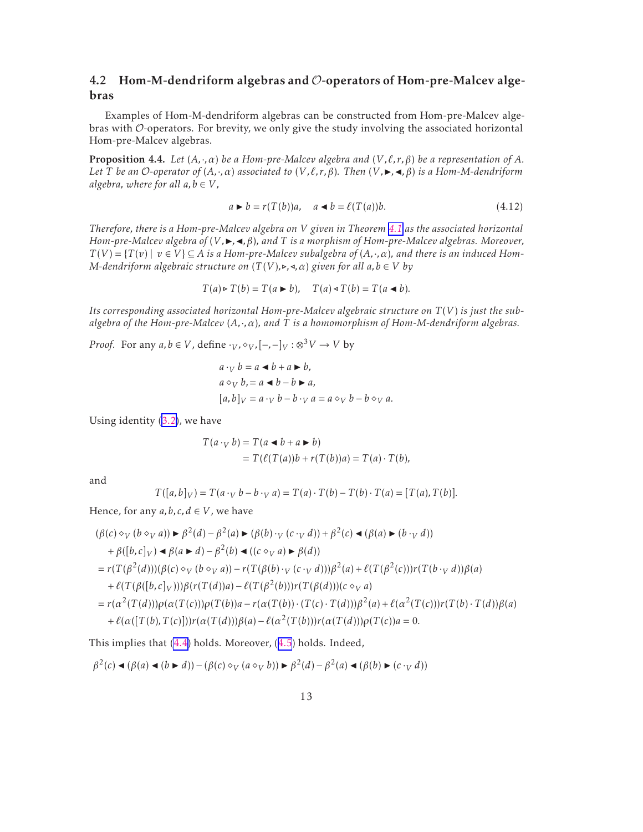### <span id="page-12-0"></span>4.2 Hom-M-dendriform algebras and  $\mathcal{O}$ -operators of Hom-pre-Malcev algebras

Examples of Hom-M-dendriform algebras can be constructed from Hom-pre-Malcev algebras with O-operators. For brevity, we only give the study involving the associated horizontal Hom-pre-Malcev algebras.

**Proposition 4.4.** *Let*  $(A, \cdot, \alpha)$  *be a Hom-pre-Malcev algebra and*  $(V, \ell, r, \beta)$  *be a representation of*  $A$ *. Let T be an O*-operator of  $(A, \cdot, \alpha)$  *associated to*  $(V, \ell, r, \beta)$ *. Then*  $(V, \blacktriangleright, \blacktriangleleft, \beta)$  *is a Hom-M-dendriform algebra, where for all*  $a, b \in V$ *,* 

$$
a \triangleright b = r(T(b))a, \quad a \triangleleft b = \ell(T(a))b.
$$
\n(4.12)

*Therefore, there is a Hom-pre-Malcev algebra on V given in Theorem [4.1](#page-9-0) as the associated horizontal Hom-pre-Malcev algebra of* (*V*, ►, ◄, β), and *T is a morphism of Hom-pre-Malcev algebras. Moreover,*  $T(V) = {T(v) | v \in V} \subseteq A$  *is a Hom-pre-Malcev subalgebra of*  $(A, \cdot, \alpha)$ *, and there is an induced Hom-M*-dendriform algebraic structure on  $(T(V), \rightarrow, \triangleleft, \alpha)$  given for all  $a, b \in V$  by

$$
T(a) \triangleright T(b) = T(a \triangleright b), \quad T(a) \triangleleft T(b) = T(a \triangleleft b).
$$

*Its corresponding associated horizontal Hom-pre-Malcev algebraic structure on T* (*V* ) *is just the subalgebra of the Hom-pre-Malcev* (*A,*·*,α*)*, and T is a homomorphism of Hom-M-dendriform algebras.*

*Proof.* For any  $a, b \in V$ , define  $\cdot_V$ ,  $\diamond_V$ ,  $[-, -]_V : \otimes^3 V \to V$  by

$$
a \cdot_V b = a \blacktriangleleft b + a \blacktriangleright b,
$$
  
\n
$$
a \diamond_V b = a \blacktriangleleft b - b \blacktriangleright a,
$$
  
\n
$$
[a, b]_V = a \cdot_V b - b \cdot_V a = a \diamond_V b - b \diamond_V a.
$$

Using identity [\(3.2\)](#page-7-0), we have

$$
T(a \cdot_V b) = T(a \blacktriangleleft b + a \blacktriangleright b)
$$
  
= 
$$
T(\ell(T(a))b + r(T(b))a) = T(a) \cdot T(b),
$$

and

$$
T([a, b]_V) = T(a \cdot_V b - b \cdot_V a) = T(a) \cdot T(b) - T(b) \cdot T(a) = [T(a), T(b)].
$$

Hence, for any  $a, b, c, d \in V$ , we have

$$
(\beta(c) \diamond_V (b \diamond_V a)) \triangleright \beta^2(d) - \beta^2(a) \triangleright (\beta(b) \cdot_V (c \cdot_V d)) + \beta^2(c) \triangleleft (\beta(a) \triangleright (b \cdot_V d))
$$
  
+  $\beta([b, c]_V) \triangleleft \beta(a \triangleright d) - \beta^2(b) \triangleleft ((c \diamond_V a) \triangleright \beta(d))$   
=  $r(T(\beta^2(d)))(\beta(c) \diamond_V (b \diamond_V a)) - r(T(\beta(b) \cdot_V (c \cdot_V d)))\beta^2(a) + \ell(T(\beta^2(c)))r(T(b \cdot_V d))\beta(a)$   
+  $\ell(T(\beta([b, c]_V)))\beta(r(T(d))a) - \ell(T(\beta^2(b)))r(T(\beta(d)))(c \diamond_V a)$   
=  $r(\alpha^2(T(d)))\rho(\alpha(T(c)))\rho(T(b))a - r(\alpha(T(b)) \cdot (T(c) \cdot T(d)))\beta^2(a) + \ell(\alpha^2(T(c)))r(T(b) \cdot T(d))\beta(a)$   
+  $\ell(\alpha([T(b), T(c)]))r(\alpha(T(d)))\beta(a) - \ell(\alpha^2(T(b)))r(\alpha(T(d)))\rho(T(c))a = 0.$ 

This implies that [\(4.4\)](#page-8-0) holds. Moreover,([4.5](#page-8-0)) holds. Indeed,

$$
\beta^2(c) \blacktriangleleft (\beta(a) \blacktriangleleft (b \blacktriangleright d)) - (\beta(c) \diamond_V (a \diamond_V b)) \blacktriangleright \beta^2(d) - \beta^2(a) \blacktriangleleft (\beta(b) \blacktriangleright (c \cdot_V d))
$$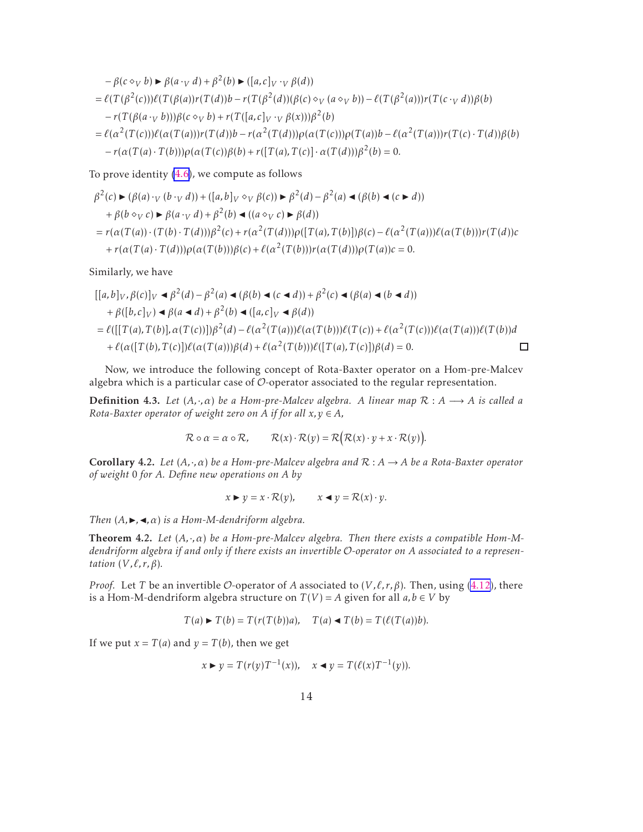<span id="page-13-0"></span>
$$
-\beta(c \diamond_V b) \triangleright \beta(a \cdot_V d) + \beta^2(b) \triangleright ([a, c]_V \cdot_V \beta(d))
$$
  
=\ell(T(\beta^2(c)))\ell(T(\beta(a))r(T(d))b - r(T(\beta^2(d))(\beta(c) \diamond\_V (a \diamond\_V b)) - \ell(T(\beta^2(a)))r(T(c \cdot\_V d))\beta(b)  
-\r(T(\beta(a \cdot\_V b)))\beta(c \diamond\_V b) + r(T([a, c]\_V \cdot\_V \beta(x)))\beta^2(b)  
=\ell(\alpha^2(T(c)))\ell(\alpha(T(a)))r(T(d))b - r(\alpha^2(T(d)))\rho(\alpha(T(c)))\rho(T(a))b - \ell(\alpha^2(T(a)))r(T(c) \cdot T(d))\beta(b)  
-\r(\alpha(T(a) \cdot T(b)))\rho(\alpha(T(c))\beta(b) + r([T(a), T(c)] \cdot \alpha(T(d)))\beta^2(b) = 0.

To prove identity [\(4.6\)](#page-8-0), we compute as follows

$$
\beta^2(c) \triangleright (\beta(a) \cdot \mathbf{v} (b \cdot \mathbf{v} d)) + ([a, b] \mathbf{v} \diamond \mathbf{v} \beta(c)) \triangleright \beta^2(d) - \beta^2(a) \triangleleft (\beta(b) \triangleleft (c \triangleright d)) \n+ \beta(b \diamond \mathbf{v} c) \triangleright \beta(a \cdot \mathbf{v} d) + \beta^2(b) \triangleleft ((a \diamond \mathbf{v} c) \triangleright \beta(d)) \n= r(\alpha(T(a)) \cdot (T(b) \cdot T(d))) \beta^2(c) + r(\alpha^2(T(d))) \rho([T(a), T(b)]) \beta(c) - \ell(\alpha^2(T(a))) \ell(\alpha(T(b))) r(T(d))c \n+ r(\alpha(T(a) \cdot T(d))) \rho(\alpha(T(b))) \beta(c) + \ell(\alpha^2(T(b))) r(\alpha(T(d))) \rho(T(a))c = 0.
$$

Similarly, we have

$$
[[a,b]_V, \beta(c)]_V \triangleleft \beta^2(d) - \beta^2(a) \triangleleft (\beta(b) \triangleleft (c \triangleleft d)) + \beta^2(c) \triangleleft (\beta(a) \triangleleft (b \triangleleft d))
$$
  
+  $\beta([b,c]_V) \triangleleft \beta(a \triangleleft d) + \beta^2(b) \triangleleft ([a,c]_V \triangleleft \beta(d))$   
=  $\ell([[T(a),T(b)], \alpha(T(c))])\beta^2(d) - \ell(\alpha^2(T(a)))\ell(\alpha(T(b)))\ell(T(c)) + \ell(\alpha^2(T(c)))\ell(\alpha(T(a)))\ell(T(b))d$   
+  $\ell(\alpha([T(b),T(c)])\ell(\alpha(T(a)))\beta(d) + \ell(\alpha^2(T(b)))\ell([T(a),T(c)])\beta(d) = 0.$ 

Now, we introduce the following concept of Rota-Baxter operator on a Hom-pre-Malcev algebra which is a particular case of  $\mathcal{O}$ -operator associated to the regular representation.

**Definition 4.3.** *Let*  $(A, \cdot, \alpha)$  *be a Hom-pre-Malcev algebra. A linear map*  $\mathcal{R}: A \longrightarrow A$  *is called a Rota-Baxter operator of weight zero on A if for all*  $x, y \in A$ *,* 

$$
\mathcal{R} \circ \alpha = \alpha \circ \mathcal{R}, \qquad \mathcal{R}(x) \cdot \mathcal{R}(y) = \mathcal{R}(\mathcal{R}(x) \cdot y + x \cdot \mathcal{R}(y)).
$$

Corollary 4.2. *Let* (*A,*·*,α*) *be a Hom-pre-Malcev algebra and* R : *A* → *A be a Rota-Baxter operator of weight* 0 *for A. Define new operations on A by*

$$
x \triangleright y = x \cdot \mathcal{R}(y), \qquad x \triangleleft y = \mathcal{R}(x) \cdot y.
$$

*Then*  $(A, \blacktriangleright, \blacktriangleleft, \alpha)$  *is a Hom-M-dendriform algebra.* 

Theorem 4.2. *Let* (*A,*·*,α*) *be a Hom-pre-Malcev algebra. Then there exists a compatible Hom-Mdendriform algebra if and only if there exists an invertible* O*-operator on A associated to a representation*  $(V, \ell, r, \beta)$ *.* 

*Proof.* Let *T* be an invertible O-operator of *A* associated to  $(V, \ell, r, \beta)$ . Then, using [\(4.12](#page-12-0)), there is a Hom-M-dendriform algebra structure on  $T(V) = A$  given for all  $a, b \in V$  by

$$
T(a) \blacktriangleright T(b) = T(r(T(b))a), \quad T(a) \blacktriangleleft T(b) = T(\ell(T(a))b).
$$

If we put  $x = T(a)$  and  $y = T(b)$ , then we get

$$
x \triangleright y = T(r(y))T^{-1}(x)), \quad x \triangleleft y = T(\ell(x))T^{-1}(y)).
$$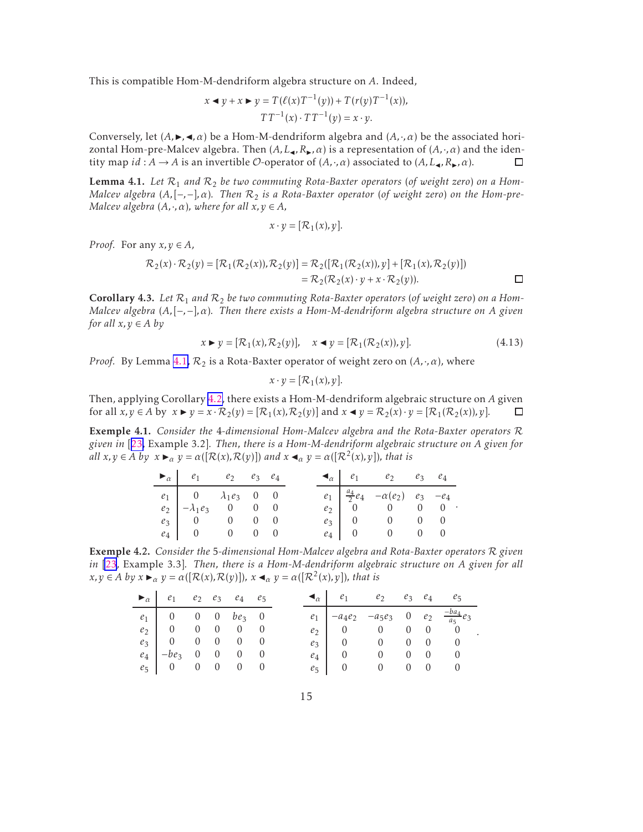<span id="page-14-0"></span>This is compatible Hom-M-dendriform algebra structure on *A*. Indeed,

$$
x \triangleleft y + x \triangleright y = T(\ell(x)T^{-1}(y)) + T(r(y)T^{-1}(x)),
$$
  

$$
TT^{-1}(x) \cdot TT^{-1}(y) = x \cdot y.
$$

Conversely, let  $(A, \blacktriangleright, \blacktriangleleft, \alpha)$  be a Hom-M-dendriform algebra and  $(A, \cdot, \alpha)$  be the associated horizontal Hom-pre-Malcev algebra. Then  $(A, L_{\blacktriangleleft}, R_{\blacktriangleright}, \alpha)$  is a representation of  $(A, \cdot, \alpha)$  and the identity map  $id: A \to A$  is an invertible O-operator of  $(A, \cdot, \alpha)$  associated to  $(A, L_{\blacktriangleleft}, R_{\blacktriangleright}, \alpha)$ .  $\Box$ 

**Lemma 4.1.** Let  $\mathcal{R}_1$  and  $\mathcal{R}_2$  be two commuting Rota-Baxter operators (of weight zero) on a Hom-*Malcev algebra* (*A,*[−*,*−]*,α*)*. Then* R<sup>2</sup> *is a Rota-Baxter operator* (*of weight zero*) *on the Hom-pre-Malcev algebra*  $(A, \cdot, \alpha)$ *, where for all*  $x, y \in A$ *,* 

$$
x \cdot y = [\mathcal{R}_1(x), y].
$$

*Proof.* For any  $x, y \in A$ ,

$$
\mathcal{R}_2(x) \cdot \mathcal{R}_2(y) = [\mathcal{R}_1(\mathcal{R}_2(x)), \mathcal{R}_2(y)] = \mathcal{R}_2([\mathcal{R}_1(\mathcal{R}_2(x)), y] + [\mathcal{R}_1(x), \mathcal{R}_2(y)])
$$
  
=  $\mathcal{R}_2(\mathcal{R}_2(x) \cdot y + x \cdot \mathcal{R}_2(y)).$ 

**Corollary 4.3.** Let  $\mathcal{R}_1$  and  $\mathcal{R}_2$  be two commuting Rota-Baxter operators (of weight zero) on a Hom-*Malcev algebra* (*A,*[−*,*−]*,α*)*. Then there exists a Hom-M-dendriform algebra structure on A given for all*  $x, y \in A$  *by* 

$$
x \triangleright y = [\mathcal{R}_1(x), \mathcal{R}_2(y)], \quad x \blacktriangleleft y = [\mathcal{R}_1(\mathcal{R}_2(x)), y]. \tag{4.13}
$$

*Proof.* By Lemma 4.1,  $\mathcal{R}_2$  is a Rota-Baxter operator of weight zero on  $(A, \cdot, \alpha)$ , where

$$
x \cdot y = [\mathcal{R}_1(x), y].
$$

Then, applying Corollary [4.2,](#page-13-0) there exists a Hom-M-dendriform algebraic structure on *A* given for all  $x, y \in A$  by  $x \in y = x \cdot R_2(y) = [R_1(x), R_2(y)]$  and  $x \in y = R_2(x) \cdot y = [R_1(R_2(x)), y]$ . □

Exemple 4.1. *Consider the* 4*-dimensional Hom-Malcev algebra and the Rota-Baxter operators* R *given in* [[23,](#page-22-0) Example 3.2]*. Then, there is a Hom-M-dendriform algebraic structure on A given for all*  $x, y \in A$  *by*  $x \blacktriangleright_{\alpha} y = \alpha([\mathcal{R}(x), \mathcal{R}(y)])$  *and*  $x \blacktriangleleft_{\alpha} y = \alpha([\mathcal{R}^2(x), y])$ *, that is* 

| $\blacktriangleright_{\alpha}$ $e_1$ $e_2$ $e_3$ $e_4$                                                                                                 |  |  |  | $\blacktriangleleft_{\alpha}$ $e_1$ $e_2$ $e_3$ $e_4$                                                                                                                       |  |
|--------------------------------------------------------------------------------------------------------------------------------------------------------|--|--|--|-----------------------------------------------------------------------------------------------------------------------------------------------------------------------------|--|
| $\begin{array}{c cccc} e_1 & 0 & \lambda_1e_3 & 0 & 0 \\ e_2 & -\lambda_1e_3 & 0 & 0 & 0 \\ e_3 & 0 & 0 & 0 & 0 \\ e_4 & 0 & 0 & 0 & 0 \\ \end{array}$ |  |  |  | $\left. \begin{array}{cccc} e_1 & \frac{a_4}{2} e_4 & -\alpha(e_2) & e_3 & -e_4 \\ e_2 & 0 & 0 & 0 & 0 \\ e_3 & 0 & 0 & 0 & 0 \\ e_4 & 0 & 0 & 0 & 0 \end{array} \right. .$ |  |
|                                                                                                                                                        |  |  |  |                                                                                                                                                                             |  |
|                                                                                                                                                        |  |  |  |                                                                                                                                                                             |  |
|                                                                                                                                                        |  |  |  |                                                                                                                                                                             |  |

Exemple 4.2. *Consider the* 5*-dimensional Hom-Malcev algebra and Rota-Baxter operators* R *given in* [\[23](#page-22-0), Example 3.3]*. Then, there is a Hom-M-dendriform algebraic structure on A given for all*  $x, y \in A$  *by*  $x \blacktriangleright_{\alpha} y = \alpha([\mathcal{R}(x), \mathcal{R}(y)])$ *,*  $x \blacktriangleleft_{\alpha} y = \alpha([\mathcal{R}^2(x), y])$ *, that is* 

| $\blacktriangleright_{\alpha}$ $e_1$ $e_2$ $e_3$ $e_4$ $e_5$ |  |  |  |                                                                                                             |  | $\blacktriangleleft_{\alpha}$ $e_1$ $e_2$ $e_3$ $e_4$ $e_5$ |
|--------------------------------------------------------------|--|--|--|-------------------------------------------------------------------------------------------------------------|--|-------------------------------------------------------------|
| $e_1$ 0 0 0 $be_3$ 0                                         |  |  |  | $e_1$ -a <sub>4</sub> e <sub>2</sub> -a <sub>5</sub> e <sub>3</sub> 0 e <sub>2</sub> $\frac{-ba_4}{a_5}e_3$ |  |                                                             |
| $e_2$ 0 0 0 0 0                                              |  |  |  | $e_2$ 0 0 0 0 0                                                                                             |  |                                                             |
| $e_3$ 0 0 0 0 0                                              |  |  |  | $e_3$ 0 0 0 0 0                                                                                             |  |                                                             |
| $e_4$ -be <sub>3</sub> 0 0 0 0                               |  |  |  | $e_4$ 0 0 0 0 0                                                                                             |  |                                                             |
| $e_5$ 0 0 0 0 0                                              |  |  |  | $e_5$ 0 0 0 0 0                                                                                             |  |                                                             |

*.*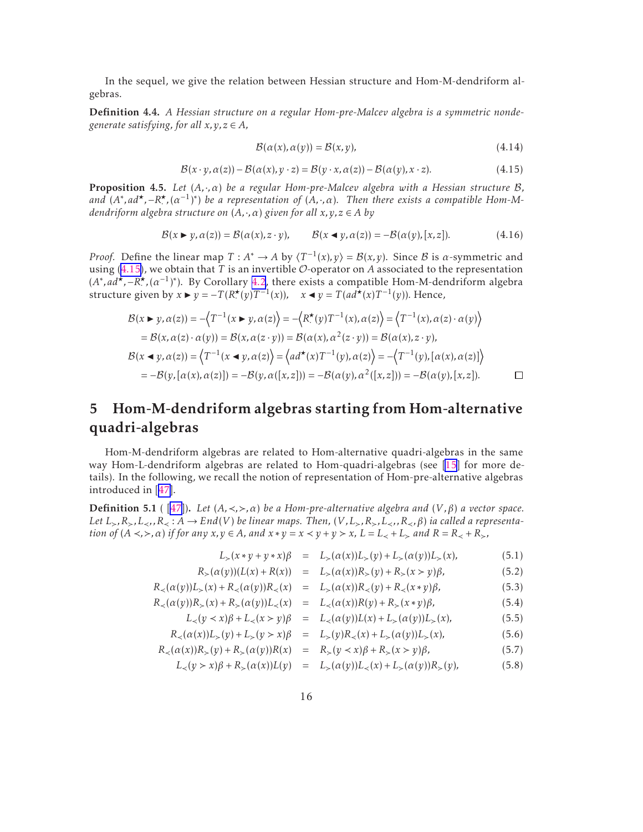<span id="page-15-0"></span>In the sequel, we give the relation between Hessian structure and Hom-M-dendriform algebras.

Definition 4.4. *A Hessian structure on a regular Hom-pre-Malcev algebra is a symmetric nondegenerate satisfying, for all*  $x, y, z \in A$ *,* 

$$
\mathcal{B}(\alpha(x), \alpha(y)) = \mathcal{B}(x, y),\tag{4.14}
$$

$$
\mathcal{B}(x \cdot y, \alpha(z)) - \mathcal{B}(\alpha(x), y \cdot z) = \mathcal{B}(y \cdot x, \alpha(z)) - \mathcal{B}(\alpha(y), x \cdot z). \tag{4.15}
$$

Proposition 4.5. *Let* (*A,*·*,α*) *be a regular Hom-pre-Malcev algebra with a Hessian structure* B*, and*  $(A^*, ad^*, -R^*, (\alpha^{-1})^*)$  *be a representation of*  $(A, \cdot, \alpha)$ *. Then there exists a compatible Hom-Mdendriform algebra structure on* (*A,*·*,α*) *given for all x,y,z* ∈ *A by*

$$
\mathcal{B}(x \blacktriangleright y, \alpha(z)) = \mathcal{B}(\alpha(x), z \cdot y), \qquad \mathcal{B}(x \blacktriangleleft y, \alpha(z)) = -\mathcal{B}(\alpha(y), [x, z]). \tag{4.16}
$$

*Proof.* Define the linear map  $T : A^* \to A$  by  $\langle T^{-1}(x), y \rangle = \mathcal{B}(x, y)$ . Since  $\mathcal B$  is  $\alpha$ -symmetric and using  $(4.15)$ , we obtain that *T* is an invertible *O*-operator on *A* associated to the representation  $(A^*, ad^*, -R^*, (a^{-1})^*)$ . By Corollary [4.2](#page-13-0), there exists a compatible Hom-M-dendriform algebra structure given by  $x \triangleright y = -T(R^*(y)T^{-1}(x))$ ,  $x \triangleleft y = T(ad^*(x)T^{-1}(y))$ . Hence,

$$
\mathcal{B}(x \triangleright y, \alpha(z)) = -\left\langle T^{-1}(x \triangleright y, \alpha(z)\right\rangle = -\left\langle R^*(y)T^{-1}(x), \alpha(z)\right\rangle = \left\langle T^{-1}(x), \alpha(z) \cdot \alpha(y)\right\rangle
$$
  
\n
$$
= \mathcal{B}(x, \alpha(z) \cdot \alpha(y)) = \mathcal{B}(x, \alpha(z \cdot y)) = \mathcal{B}(\alpha(x), \alpha^2(z \cdot y)) = \mathcal{B}(\alpha(x), z \cdot y),
$$
  
\n
$$
\mathcal{B}(x \blacktriangleleft y, \alpha(z)) = \left\langle T^{-1}(x \blacktriangleleft y, \alpha(z)\right) = \left\langle ad^*(x)T^{-1}(y), \alpha(z)\right\rangle = -\left\langle T^{-1}(y), [\alpha(x), \alpha(z)]\right\rangle
$$
  
\n
$$
= -\mathcal{B}(y, [\alpha(x), \alpha(z)]) = -\mathcal{B}(y, \alpha([x, z])) = -\mathcal{B}(\alpha(y), \alpha^2([x, z])) = -\mathcal{B}(\alpha(y), [x, z]).
$$

## 5 Hom-M-dendriform algebras starting from Hom-alternative quadri-algebras

Hom-M-dendriform algebras are related to Hom-alternative quadri-algebras in the same way Hom-L-dendriform algebras are related to Hom-quadri-algebras (see [\[15](#page-21-0)] for more details). In the following, we recall the notion of representation of Hom-pre-alternative algebras introduced in[[47\]](#page-23-0).

Definition 5.1 ( [\[47\]](#page-23-0)). *Let* (*A,*≺*,*≻*,α*) *be a Hom-pre-alternative algebra and* (*V ,β*) *a vector space. Let*  $L_>, R_>, L_>, R_>, K_$  : *A* → *End*(*V*) *be linear maps. Then,* (*V, L*, *R*<sub>></sub>*, R*<sub>></sub>*, B*<sub> $>$ *, β*) *ia called a representa-*</sub> tion of  $(A \prec, \succ, \alpha)$  if for any  $x, y \in A$ , and  $x * y = x \prec y + y \succ x$ ,  $L = L_{\prec} + L_{\succ}$  and  $R = R_{\prec} + R_{\succ}$ ,

$$
L_{>}(x * y + y * x)\beta = L_{>}(\alpha(x))L_{>}(y) + L_{>}(\alpha(y))L_{>}(x), \qquad (5.1)
$$

$$
R_{>}(\alpha(y))(L(x) + R(x)) = L_{>}(\alpha(x))R_{>}(y) + R_{>}(x > y)\beta, \tag{5.2}
$$

$$
R_{<}(\alpha(y))L_{>}(x) + R_{<}(\alpha(y))R_{<}(x) = L_{>}(\alpha(x))R_{<}(y) + R_{<}(x*y)\beta,
$$
\n(5.3)

$$
R_{\prec}(\alpha(y))R_{\succ}(x) + R_{\succ}(\alpha(y))L_{\prec}(x) = L_{\prec}(\alpha(x))R(y) + R_{\succ}(x*y)\beta,
$$
\n(5.4)

$$
L_{<}(y \prec x)\beta + L_{<}(x > y)\beta = L_{<}(a(y))L(x) + L_{>}(a(y))L_{>}(x), \tag{5.5}
$$

$$
R_{\prec}(\alpha(x))L_{>}(y) + L_{>}(y > x)\beta = L_{>}(y)R_{<}(x) + L_{>}(\alpha(y))L_{>}(x), \tag{5.6}
$$

$$
R_{\prec}(\alpha(x))R_{\succ}(y) + R_{\succ}(\alpha(y))R(x) = R_{\succ}(y \prec x)\beta + R_{\succ}(x \succ y)\beta, \tag{5.7}
$$

$$
L_{\prec}(y > x)\beta + R_{>}(\alpha(x))L(y) = L_{>}(\alpha(y))L_{<}(x) + L_{>}(\alpha(y))R_{>}(y),
$$
 (5.8)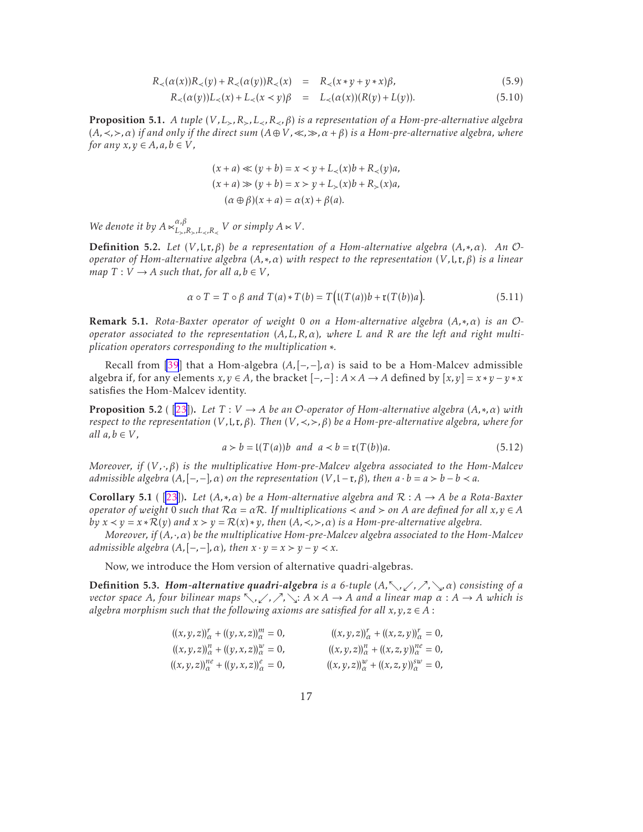$$
R_{\prec}(\alpha(x))R_{\prec}(y) + R_{\prec}(\alpha(y))R_{\prec}(x) = R_{\prec}(x * y + y * x)\beta,
$$
\n(5.9)

$$
R_{\prec}(\alpha(y))L_{\prec}(x) + L_{\prec}(x \prec y)\beta = L_{\prec}(\alpha(x))(R(y) + L(y)).
$$
\n(5.10)

<span id="page-16-0"></span>Proposition 5.1. *A tuple* (*V ,L*≻*,R*≻*,L*≺*,R*≺*,β*) *is a representation of a Hom-pre-alternative algebra* (*A,*≺*,*≻*,α*) *if and only if the direct sum* (*A*⊕*V ,*≪*,*≫*,α* +*β*) *is a Hom-pre-alternative algebra, where for any*  $x, y \in A$ *, a, b*  $\in V$ *,* 

$$
(x+a) \ll (y+b) = x \lt y + L_{\lt}(x)b + R_{\lt}(y)a,
$$
  
\n
$$
(x+a) \gg (y+b) = x > y + L_{\gt}(x)b + R_{\gt}(x)a,
$$
  
\n
$$
(\alpha \oplus \beta)(x+a) = \alpha(x) + \beta(a).
$$

*We denote it by*  $A \ltimes_{L_1}^{\alpha,\beta}$  $\sum_{L > R > L < R} R$ <sup>*V*</sup> *or simply*  $A \ltimes V$ *.* 

Definition 5.2. *Let* (*V ,*l*,*r*,β*) *be a representation of a Hom-alternative algebra* (*A,*∗*,α*)*. An* O*operator of Hom-alternative algebra* (*A,*∗*,α*) *with respect to the representation* (*V ,*l*,*r*,β*) *is a linear map*  $T: V \to A$  *such that, for all*  $a, b \in V$ *,* 

$$
\alpha \circ T = T \circ \beta \text{ and } T(a) * T(b) = T\big(\mathfrak{l}(T(a))b + \mathfrak{r}(T(b))a\big).
$$
 (5.11)

Remark 5.1. *Rota-Baxter operator of weight* 0 *on a Hom-alternative algebra* (*A,*∗*,α*) *is an* O*operator associated to the representation* (*A,L,R,α*)*, where L and R are the left and right multiplication operators corresponding to the multiplication* ∗*.*

Recall from [\[39](#page-23-0)] that a Hom-algebra  $(A, [-, -], \alpha)$  is said to be a Hom-Malcev admissible algebra if, for any elements  $x, y \in A$ , the bracket  $[-,-]: A \times A \rightarrow A$  defined by  $[x, y] = x * y - y * x$ satisfies the Hom-Malcev identity.

**Proposition 5.2** ( [\[23\]](#page-22-0)). Let  $T: V \to A$  be an O-operator of Hom-alternative algebra  $(A, *, \alpha)$  with *respect to the representation*  $(V, I, r, \beta)$ *. Then*  $(V, \langle , \rangle, \beta)$  *be a Hom-pre-alternative algebra, where for all*  $a, b \in V$ *,* 

$$
a > b = \mathfrak{l}(T(a))b \text{ and } a < b = \mathfrak{r}(T(b))a. \tag{5.12}
$$

*Moreover, if* (*V ,*·*,β*) *is the multiplicative Hom-pre-Malcev algebra associated to the Hom-Malcev admissible algebra*  $(A, [-,-], \alpha)$  *on the representation*  $(V, [-r, \beta)$ *, then*  $a \cdot b = a > b - b < a$ *.* 

Corollary 5.1 ( [\[23\]](#page-22-0)). *Let* (*A,*∗*,α*) *be a Hom-alternative algebra and* R : *A* → *A be a Rota-Baxter operator of weight* 0 *such that*  $R\alpha = \alpha R$ *. If multiplications*  $\prec$  *and*  $>$  *on A* are defined for all  $x, y \in A$ *by*  $x \lt y = x * R(y)$  *and*  $x > y = R(x) * y$ *, then*  $(A, \lt,, >, \alpha)$  *is a Hom-pre-alternative algebra.* 

*Moreover, if* (*A,*·*,α*) *be the multiplicative Hom-pre-Malcev algebra associated to the Hom-Malcev admissible algebra*  $(A, [-,-], \alpha)$ *, then*  $x \cdot y = x > y - y < x$ *.* 

Now, we introduce the Hom version of alternative quadri-algebras.

**Definition 5.3.** *Hom-alternative quadri-algebra is a* 6-tuple  $(A, \nwarrow, \swarrow, \nearrow, \searrow, \alpha)$  *consisting of a vector space A, four bilinear maps* տ*,*ւ*,*ր*,*ց: *A* × *A* → *A and a linear map α* : *A* → *A which is algebra morphism such that the following axioms are satisfied for all*  $x, y, z \in A$ :

> $((x, y, z))_{\alpha}^r + ((y, x, z))_{\alpha}^m = 0,$   $((x, y, z))_{\alpha}^r + ((x, z, y))_{\alpha}^r = 0,$  $((x, y, z))_{\alpha}^{n} + ((y, x, z))_{\alpha}^{w} = 0,$   $((x, y, z))_{\alpha}^{n} + ((x, z, y))_{\alpha}^{ne} = 0,$  $((x, y, z))_{\alpha}^{ne} + ((y, x, z))_{\alpha}^{e} = 0,$   $((x, y, z))_{\alpha}^{w} + ((x, z, y))_{\alpha}^{sw} = 0,$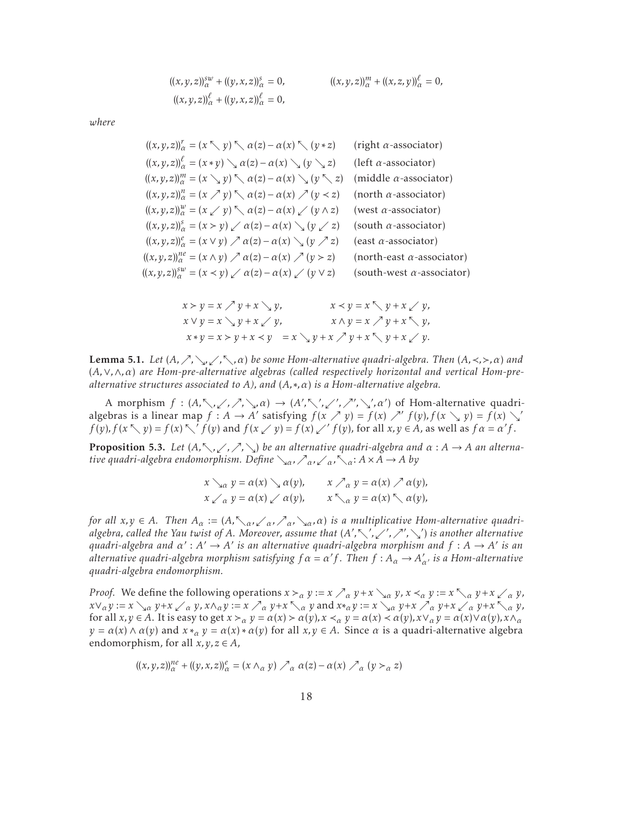$$
((x, y, z))_{\alpha}^{sw} + ((y, x, z))_{\alpha}^{s} = 0, \qquad \qquad ((x, y, z))_{\alpha}^{m} + ((x, z, y))_{\alpha}^{l} = 0, ((x, y, z))_{\alpha}^{l} + ((y, x, z))_{\alpha}^{l} = 0,
$$

*where*

$$
((x, y, z))_{\alpha}^{r} = (x \nwarrow y) \nwarrow \alpha(z) - \alpha(x) \nwarrow (y * z) \quad \text{(right } \alpha\text{-associator)}
$$
\n
$$
((x, y, z))_{\alpha}^{\beta} = (x * y) \searrow \alpha(z) - \alpha(x) \searrow (y \searrow z) \quad \text{(left } \alpha\text{-associator)}
$$
\n
$$
((x, y, z))_{\alpha}^{m} = (x \searrow y) \nwarrow \alpha(z) - \alpha(x) \searrow (y \nwarrow z) \quad \text{(middle } \alpha\text{-associator)}
$$
\n
$$
((x, y, z))_{\alpha}^{n} = (x \nearrow y) \nwarrow \alpha(z) - \alpha(x) \nearrow (y < z) \quad \text{(north } \alpha\text{-associator)}
$$
\n
$$
((x, y, z))_{\alpha}^{w} = (x \nearrow y) \nwarrow \alpha(z) - \alpha(x) \nearrow (y \nearrow z) \quad \text{(west } \alpha\text{-associator)}
$$
\n
$$
((x, y, z))_{\alpha}^{s} = (x \searrow y) \nearrow \alpha(z) - \alpha(x) \searrow (y \nearrow z) \quad \text{(south } \alpha\text{-associator)}
$$
\n
$$
((x, y, z))_{\alpha}^{n e} = (x \vee y) \nearrow \alpha(z) - \alpha(x) \searrow (y \nearrow z) \quad \text{(east } \alpha\text{-associator)}
$$
\n
$$
((x, y, z))_{\alpha}^{n e} = (x \wedge y) \nearrow \alpha(z) - \alpha(x) \nearrow (y > z) \quad \text{(north-east } \alpha\text{-associator)}
$$
\n
$$
((x, y, z))_{\alpha}^{s w} = (x \prec y) \nearrow \alpha(z) - \alpha(x) \nearrow (y \vee z) \quad \text{(south-west } \alpha\text{-associator)}
$$

$$
x > y = x \nearrow y + x \searrow y,
$$
  
\n
$$
x < y = x \searrow y + x \swarrow y,
$$
  
\n
$$
x \vee y = x \searrow y + x \swarrow y,
$$
  
\n
$$
x \wedge y = x \nearrow y + x \searrow y,
$$
  
\n
$$
x \wedge y = x \nearrow y + x \searrow y,
$$
  
\n
$$
y + x \searrow y,
$$
  
\n
$$
y + x \searrow y.
$$

Lemma 5.1. *Let* (*A,*ր*,*ց*,*ւ*,*տ*,α*) *be some Hom-alternative quadri-algebra. Then* (*A,*≺*,*≻*,α*) *and* (*A,*∨*,*∧*,α*) *are Hom-pre-alternative algebras (called respectively horizontal and vertical Hom-prealternative structures associated to A), and* (*A,*∗*,α*) *is a Hom-alternative algebra.*

A morphism  $f : (A, \nwarrow, \swarrow, \nearrow, \searrow, \alpha) \rightarrow (A', \nwarrow', \swarrow', \nearrow', \searrow', \alpha')$  of Hom-alternative quadrialgebras is a linear map  $f : A \to A'$  satisfying  $f(x \nearrow y) = f(x) \nearrow' f(y)$ ,  $f(x \searrow y) = f(x) \searrow'$  $f(y), f(x \nwarrow y) = f(x) \nwarrow' f(y)$  and  $f(x \swarrow y) = f(x) \swarrow' f(y)$ , for all  $x, y \in A$ , as well as  $f \alpha = \alpha' f$ .

**Proposition 5.3.** Let  $(A, \nwarrow, \swarrow, \nearrow, \searrow)$  be an alternative quadri-algebra and  $\alpha : A \rightarrow A$  an alterna*tive quadri-algebra endomorphism. Define*  $\chi_{\alpha}$ *, ∕<sub>α</sub>*, ∕<sub>α</sub>,  $\chi_{\alpha}$ *; A* × *A* → *A by* 

$$
x \searrow_{\alpha} y = \alpha(x) \searrow \alpha(y), \qquad x \nearrow_{\alpha} y = \alpha(x) \nearrow \alpha(y),
$$
  

$$
x \swarrow_{\alpha} y = \alpha(x) \swarrow \alpha(y), \qquad x \searrow_{\alpha} y = \alpha(x) \searrow \alpha(y),
$$

*for all*  $x, y \in A$ *. Then*  $A_\alpha := (A, \neg \neg \alpha, \neg \neg \alpha, \neg \alpha, \neg \alpha)$  *is a multiplicative Hom-alternative quadrialgebra, called the Yau twist of A. Moreover, assume that* (*A* ′ *,*տ′ *,*ւ′ *,*ր′ *,*ց′ ) *is another alternative*  $q$ uadri-algebra and  $\alpha' : A' \to A'$  is an alternative quadri-algebra morphism and  $f : A \to A'$  is an *alternative quadri-algebra morphism satisfying*  $f \alpha = \alpha' f$ . Then  $f : A_{\alpha} \to A'_{\alpha'}$  is a Hom-alternative *quadri-algebra endomorphism.*

*Proof.* We define the following operations  $x >_{\alpha} y := x \nearrow_{\alpha} y + x \searrow_{\alpha} y$ ,  $x <_{\alpha} y := x \nwarrow_{\alpha} y + x \swarrow_{\alpha} y$ ,  $x\vee_\alpha y:=x\searrow_\alpha y+x\swarrow_\alpha y$ ,  $x\wedge_\alpha y:=x\nearrow_\alpha y+x\searrow_\alpha y$  and  $x*_\alpha y:=x\searrow_\alpha y+x\nearrow_\alpha y+x\searrow_\alpha y+x\searrow_\alpha y$ , for all  $x, y \in A$ . It is easy to get  $x >_{\alpha} y = \alpha(x) > \alpha(y)$ ,  $x <_{\alpha} y = \alpha(x) < \alpha(y)$ ,  $x \vee_{\alpha} y = \alpha(x) \vee \alpha(y)$ ,  $x \wedge_{\alpha} y = \alpha(x) \vee \alpha(y)$  $y = \alpha(x) \wedge \alpha(y)$  and  $x *_{\alpha} y = \alpha(x) * \alpha(y)$  for all  $x, y \in A$ . Since  $\alpha$  is a quadri-alternative algebra endomorphism, for all  $x, y, z \in A$ ,

$$
((x,y,z))_{\alpha}^{n e} + ((y,x,z))_{\alpha}^{e} = (x \wedge_{\alpha} y) \nearrow_{\alpha} \alpha(z) - \alpha(x) \nearrow_{\alpha} (y >_{\alpha} z)
$$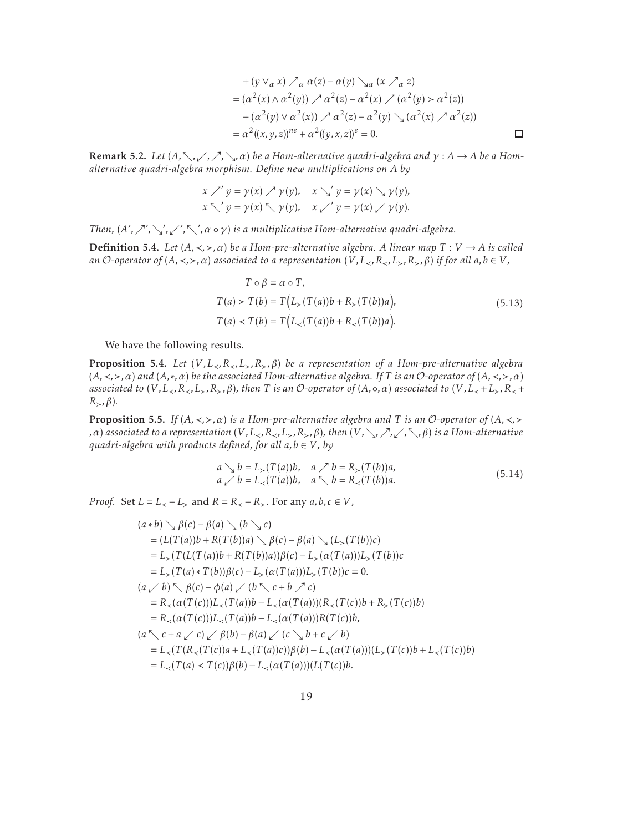+ 
$$
(y \vee_{\alpha} x) \nearrow_{\alpha} \alpha(z) - \alpha(y) \searrow_{\alpha} (x \nearrow_{\alpha} z)
$$
  
\n=  $(\alpha^2(x) \wedge \alpha^2(y)) \nearrow \alpha^2(z) - \alpha^2(x) \nearrow (\alpha^2(y) > \alpha^2(z))$   
\n+  $(\alpha^2(y) \vee \alpha^2(x)) \nearrow \alpha^2(z) - \alpha^2(y) \searrow (\alpha^2(x) \nearrow \alpha^2(z))$   
\n=  $\alpha^2((x, y, z))^{n e} + \alpha^2((y, x, z))^e = 0$ .

 $\Box$ 

<span id="page-18-0"></span>**Remark 5.2.** *Let*  $(A, \nwarrow, \swarrow, \nearrow, \searrow, \alpha)$  *be a Hom-alternative quadri-algebra and*  $\gamma : A \to A$  *be a Homalternative quadri-algebra morphism. Define new multiplications on A by*

$$
x \nearrow' y = \gamma(x) \nearrow \gamma(y), \quad x \searrow' y = \gamma(x) \searrow \gamma(y),
$$
  

$$
x \searrow' y = \gamma(x) \searrow \gamma(y), \quad x \swarrow' y = \gamma(x) \swarrow \gamma(y).
$$

*Then,*  $(A', \nearrow', \searrow', \swarrow', \nwarrow, \alpha \circ \gamma)$  *is a multiplicative Hom-alternative quadri-algebra.* 

**Definition 5.4.** *Let*  $(A, \prec, \succ, \alpha)$  *be a Hom-pre-alternative algebra. A linear map*  $T: V \to A$  *is called an* O-operator of  $(A, \prec, \succ, \alpha)$  associated to a representation  $(V, L_{\prec}, R_{\prec}, L_{\succ}, R_{\succ}, \beta)$  if for all  $a, b \in V$ ,

$$
T \circ \beta = \alpha \circ T,
$$
  
\n
$$
T(a) > T(b) = T(L_{>}(T(a))b + R_{>}(T(b))a),
$$
  
\n
$$
T(a) < T(b) = T(L_{<}(T(a))b + R_{<}(T(b))a).
$$
\n(5.13)

We have the following results.

Proposition 5.4. *Let* (*V ,L*≺*,R*≺*,L*≻*,R*≻*,β*) *be a representation of a Hom-pre-alternative algebra* (*A,*≺*,*≻*,α*) *and* (*A,*∗*,α*) *be the associated Hom-alternative algebra. If T is an* O*-operator of* (*A,*≺*,*≻*,α*) *associated to*  $(V, L_{\prec}, R_{\prec}, L_{\succ}, R_{\succ}, \beta)$ , then T is an O-operator of  $(A, \circ, \alpha)$  associated to  $(V, L_{\prec} + L_{\succ}, R_{\prec} +$  $R_{\succ}$ *, β*).

Proposition 5.5. *If* (*A,*≺*,*≻*,α*) *is a Hom-pre-alternative algebra and T is an* O*-operator of* (*A,*≺*,*≻ *,α*) *associated to a representation* (*V,* L<sub>≺</sub>*,R*<sub>≺</sub>*,L*<sub>></sub>*,R*<sub>></sub>*,β*)*, then* (*V,* ∖<sub>γ</sub>*/,* ∕<sub>*,*</sub>⁄*,* √*,β*) *is a Hom-alternative quadri-algebra with products defined, for all*  $a, b \in V$ *, by* 

$$
a \searrow b = L_{\succ}(T(a))b, \quad a \nearrow b = R_{\succ}(T(b))a,
$$
  
\n
$$
a \swarrow b = L_{\prec}(T(a))b, \quad a \searrow b = R_{\prec}(T(b))a.
$$
\n(5.14)

*Proof.* Set  $L = L$ <sub><</sub> +  $L$ <sub>></sub> and  $R = R$ <sub><</sub> +  $R$ <sub>></sub>. For any  $a, b, c \in V$ ,

$$
(a * b) \searrow \beta(c) - \beta(a) \searrow (b \searrow c)
$$
  
=  $(L(T(a))b + R(T(b))a) \searrow \beta(c) - \beta(a) \searrow (L_{>}(T(b))c)$   
=  $L_{>}(T(L(T(a))b + R(T(b))a))\beta(c) - L_{>}(\alpha(T(a)))L_{>}(T(b))c$   
=  $L_{>}(T(a) * T(b))\beta(c) - L_{>}(\alpha(T(a)))L_{>}(T(b))c = 0.$   
 $(a \swarrow b) \searrow \beta(c) - \phi(a) \swarrow (b \searrow c + b \nearrow c)$   
=  $R_{<}(\alpha(T(c)))L_{<}(T(a))b - L_{<}(\alpha(T(a)))(R_{<}(T(c))b + R_{>}(T(c))b)$   
=  $R_{<}(\alpha(T(c)))L_{<}(T(a))b - L_{<}(\alpha(T(a)))R(T(c))b,$   
 $(a \searrow c + a \swarrow c) \swarrow \beta(b) - \beta(a) \swarrow (c \searrow b + c \swarrow b)$   
=  $L_{<}(T(R_{<}(T(c))a + L_{<}(T(a))c))\beta(b) - L_{<}(\alpha(T(a)))(L_{>}(T(c))b + L_{<}(T(c))b)$   
=  $L_{<}(T(a) \swarrow T(c))\beta(b) - L_{<}(\alpha(T(a)))(L(T(c))b).$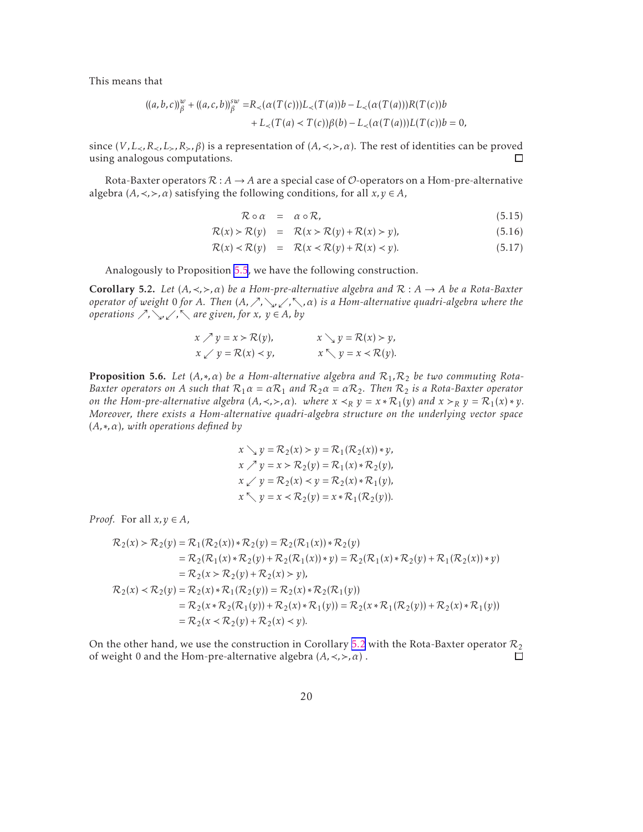This means that

$$
((a,b,c))_{\beta}^{w} + ((a,c,b))_{\beta}^{sw} = R_{\prec}(\alpha(T(c)))L_{\prec}(T(a))b - L_{\prec}(\alpha(T(a)))R(T(c))b
$$
  
+  $L_{\prec}(T(a) < T(c))\beta(b) - L_{\prec}(\alpha(T(a)))L(T(c))b = 0,$ 

since  $(V, L_{\prec}, R_{\prec}, L_{\succ}, R_{\succ}, \beta)$  is a representation of  $(A, \prec, \succ, \alpha)$ . The rest of identities can be proved using analogous computations.  $\Box$ 

Rota-Baxter operators  $\mathcal{R}: A \to A$  are a special case of  $\mathcal{O}$ -operators on a Hom-pre-alternative algebra  $(A, \prec, \succ, \alpha)$  satisfying the following conditions, for all  $x, y \in A$ ,

$$
\mathcal{R} \circ \alpha = \alpha \circ \mathcal{R}, \tag{5.15}
$$

$$
\mathcal{R}(x) > \mathcal{R}(y) = \mathcal{R}(x > \mathcal{R}(y) + \mathcal{R}(x) > y),\tag{5.16}
$$

$$
\mathcal{R}(x) < \mathcal{R}(y) = \mathcal{R}(x < \mathcal{R}(y) + \mathcal{R}(x) < y). \tag{5.17}
$$

Analogously to Proposition [5.5](#page-18-0), we have the following construction.

Corollary 5.2. *Let* (*A,*≺*,*≻*,α*) *be a Hom-pre-alternative algebra and* R : *A* → *A be a Rota-Baxter operator of weight* 0 *for A. Then* (*A,*ր*,*ց*,*ւ*,*տ*,α*) *is a Hom-alternative quadri-algebra where the operations*  $\nearrow$ ,  $\searrow$ ,  $\swarrow$ ,  $\nwarrow$  *are given, for x,*  $y \in A$ , *by* 

$$
x \nearrow y = x > \mathcal{R}(y), \qquad x \searrow y = \mathcal{R}(x) > y, \n x \swarrow y = \mathcal{R}(x) < y, \qquad x \searrow y = x < \mathcal{R}(y).
$$

**Proposition 5.6.** Let  $(A, *, \alpha)$  be a Hom-alternative algebra and  $\mathcal{R}_1, \mathcal{R}_2$  be two commuting Rota-*Baxter operators on A such that*  $R_1 \alpha = \alpha R_1$  *and*  $R_2 \alpha = \alpha R_2$ . *Then*  $R_2$  *is a Rota-Baxter operator on the Hom-pre-alternative algebra*  $(A, \prec, \succ, \alpha)$ *. where*  $x \prec_R y = x * \mathcal{R}_1(y)$  *and*  $x \succ_R y = \mathcal{R}_1(x) * y$ *. Moreover, there exists a Hom-alternative quadri-algebra structure on the underlying vector space* (*A,*∗*,α*)*, with operations defined by*

$$
x \searrow y = \mathcal{R}_2(x) > y = \mathcal{R}_1(\mathcal{R}_2(x)) \cdot y,
$$
\n
$$
x \nearrow y = x > \mathcal{R}_2(y) = \mathcal{R}_1(x) \cdot \mathcal{R}_2(y),
$$
\n
$$
x \swarrow y = \mathcal{R}_2(x) < y = \mathcal{R}_2(x) \cdot \mathcal{R}_1(y),
$$
\n
$$
x \searrow y = x < \mathcal{R}_2(y) = x \cdot \mathcal{R}_1(\mathcal{R}_2(y)).
$$

*Proof.* For all  $x, y \in A$ ,

$$
\mathcal{R}_2(x) > \mathcal{R}_2(y) = \mathcal{R}_1(\mathcal{R}_2(x)) * \mathcal{R}_2(y) = \mathcal{R}_2(\mathcal{R}_1(x)) * \mathcal{R}_2(y) \n= \mathcal{R}_2(\mathcal{R}_1(x) * \mathcal{R}_2(y) + \mathcal{R}_2(\mathcal{R}_1(x)) * y) = \mathcal{R}_2(\mathcal{R}_1(x) * \mathcal{R}_2(y) + \mathcal{R}_1(\mathcal{R}_2(x)) * y) \n= \mathcal{R}_2(x > \mathcal{R}_2(y) + \mathcal{R}_2(x) > y), \n\mathcal{R}_2(x) < \mathcal{R}_2(y) = \mathcal{R}_2(x) * \mathcal{R}_1(\mathcal{R}_2(y)) = \mathcal{R}_2(x) * \mathcal{R}_2(\mathcal{R}_1(y)) \n= \mathcal{R}_2(x * \mathcal{R}_2(\mathcal{R}_1(y)) + \mathcal{R}_2(x) * \mathcal{R}_1(y)) = \mathcal{R}_2(x * \mathcal{R}_1(\mathcal{R}_2(y)) + \mathcal{R}_2(x) * \mathcal{R}_1(y)) \n= \mathcal{R}_2(x < \mathcal{R}_2(y) + \mathcal{R}_2(x) < y).
$$

On the other hand, we use the construction in Corollary 5.2 with the Rota-Baxter operator  $\mathcal{R}_2$  of weight 0 and the Hom-pre-alternative algebra  $(A, \leq, \geq, \alpha)$ . of weight 0 and the Hom-pre-alternative algebra (*A,*≺*,*≻*,α*) .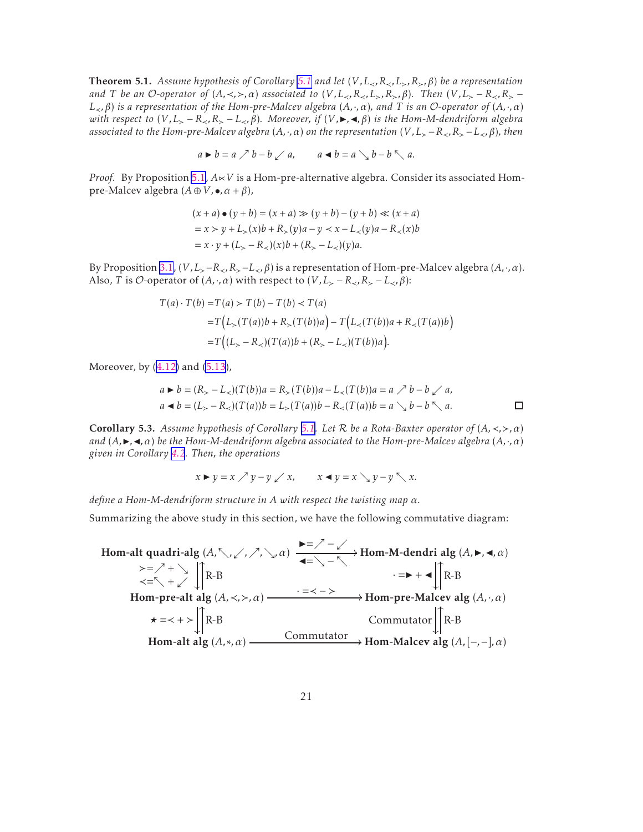**Theorem [5.1](#page-16-0).** *Assume hypothesis of Corollary 5.1 and let*  $(V, L_{\prec}, R_{\prec}, L_{\succ}, R_{\succ}, \beta)$  *be a representation and T be an O*-operator of  $(A, \prec, >, \alpha)$  associated to  $(V, L_{\prec}, R_{\prec}, L_{>}, R_{>}, \beta)$ . Then  $(V, L_{\succ} - R_{\prec}, R_{\succ} - R_{\prec})$ *L*≺*,β*) *is a representation of the Hom-pre-Malcev algebra* (*A,*·*,α*)*, and T is an* O*-operator of* (*A,*·*,α*) *with respect to*  $(V, L_>-R_*R_>-L_ *\beta)**$ *. Moreover, if*  $(V, \blacktriangleright, \blacktriangleleft, \beta)$  *is the Hom-M-dendriform algebra associated to the Hom-pre-Malcev algebra* (*A*,⋅*,α*) *on the representation* (*V*, *L*<sub>></sub> − *R*<sub><</sub>*, R*<sub>></sub> − *L*<sub><</sub>*, β*)*, then* 

 $a \triangleright b = a \nearrow b - b \swarrow a$ ,  $a \blacktriangleleft b = a \searrow b - b \nwarrow a$ .

*Proof.* By Proposition [5.1,](#page-16-0) *A*∝*V* is a Hom-pre-alternative algebra. Consider its associated Hompre-Malcev algebra  $(A \oplus V, \bullet, \alpha + \beta)$ ,

$$
(x + a) \bullet (y + b) = (x + a) \gg (y + b) - (y + b) \ll (x + a)
$$
  
= x > y + L<sub>></sub>(x)b + R<sub>></sub>(y)a - y < x - L(y)a - R(x)b  
= x · y + (L<sub>></sub> - R)(x)b + (R<sub>></sub> - L)(y)a.

By Proposition [3.1](#page-5-0), (*V*, *L*<sub>≻</sub>−*R*<sub>≺</sub>, *R*<sub>≻</sub>−*L*<sub>≺</sub>, *β*) is a representation of Hom-pre-Malcev algebra (*A*, ·, *α*). Also, *T* is *O*-operator of  $(A, \cdot, \alpha)$  with respect to  $(V, L_{\succ} - R_{\prec}, R_{\succ} - L_{\prec}, \beta)$ :

$$
T(a) \cdot T(b) = T(a) > T(b) - T(b) < T(a)
$$
  
= 
$$
T(L_>(T(a))b + R_>(T(b))a) - T(L_<(T(b))a + R_<(T(a))b)
$$
  
= 
$$
T((L_> - R_<)(T(a))b + (R_> - L_<)(T(b))a).
$$

Moreover, by([4.12\)](#page-12-0) and [\(5.13\)](#page-18-0),

$$
a \triangleright b = (R_{>} - L_{<}) (T(b))a = R_{>} (T(b))a - L_{<}(T(b))a = a \nearrow b - b \swarrow a,
$$
  
\n
$$
a \blacktriangleleft b = (L_{>} - R_{<}) (T(a))b = L_{>}(T(a))b - R_{<}(T(a))b = a \searrow b - b \searrow a.
$$

Corollary 5.3. *Assume hypothesis of Corollary [5.1](#page-16-0). Let* R *be a Rota-Baxter operator of* (*A,*≺*,*≻*,α*) *and*  $(A, \triangleright, \triangleleft, \alpha)$  *be the Hom-M-dendriform algebra associated to the Hom-pre-Malcev algebra*  $(A, \cdot, \alpha)$ *given in Corollary [4.2](#page-13-0). Then, the operations*

$$
x \triangleright y = x \nearrow y - y \swarrow x, \qquad x \blacktriangleleft y = x \searrow y - y \nwarrow x.
$$

*define a Hom-M-dendriform structure in A with respect the twisting map α.*

Summarizing the above study in this section, we have the following commutative diagram:

Hom-alt quadri-alg (*A,*տ*,*ւ*,*ր*,*ց*,α*) / ≻=ր + ց <sup>≺</sup>=<sup>տ</sup> <sup>+</sup> <sup>ւ</sup> ◮=ր − ւ ◭=ց − տ Hom-M-dendri alg (*A,*◮*,*◭*,α*) · =◮ + ◭ Hom-pre-alt alg (*A,*≺*,*≻*,α*) / R-B OO *⋆* =≺ + ≻ · <sup>=</sup>≺ − ≻ Hom-pre-Malcev alg (*A,*·*,α*) R-B OO Commutator Hom-alt alg (*A,*∗*,α*) R-B OO Commutator Hom-Malcev alg (*A,*[−*,*−]*,α*) R-B OO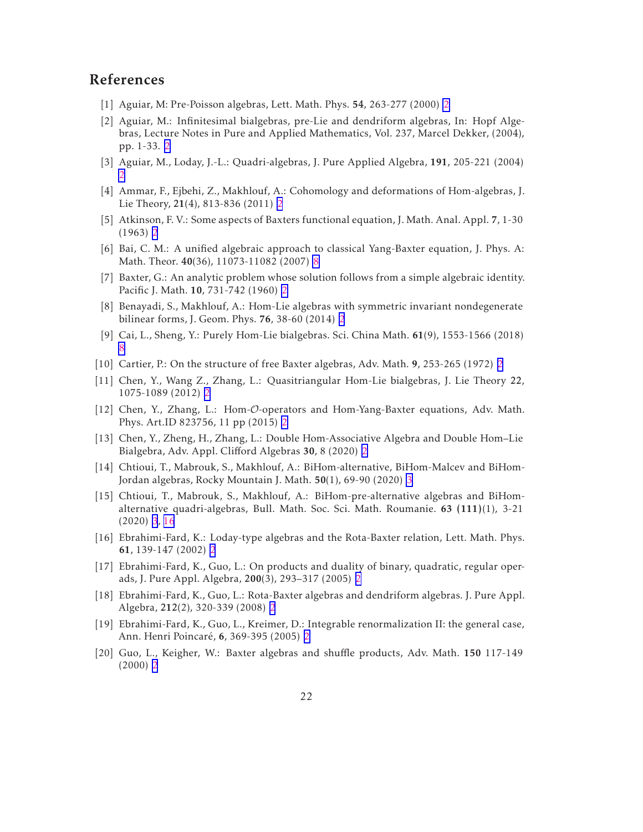### <span id="page-21-0"></span>References

- [1] Aguiar, M: Pre-Poisson algebras, Lett. Math. Phys. 54, 263-277 (2000) [2](#page-1-0)
- [2] Aguiar, M.: Infinitesimal bialgebras, pre-Lie and dendriform algebras, In: Hopf Algebras, Lecture Notes in Pure and Applied Mathematics, Vol. 237, Marcel Dekker, (2004), pp. 1-33. [2](#page-1-0)
- [3] Aguiar, M., Loday, J.-L.: Quadri-algebras, J. Pure Applied Algebra, 191, 205-221 (2004) [2](#page-1-0)
- [4] Ammar, F., Ejbehi, Z., Makhlouf, A.: Cohomology and deformations of Hom-algebras, J. Lie Theory, 21(4), 813-836 (2011) [2](#page-1-0)
- [5] Atkinson, F. V.: Some aspects of Baxters functional equation, J. Math. Anal. Appl. 7, 1-30 (1963) [2](#page-1-0)
- [6] Bai, C. M.: A unified algebraic approach to classical Yang-Baxter equation, J. Phys. A: Math. Theor. 40(36), 11073-11082 (2007) [8](#page-7-0)
- [7] Baxter, G.: An analytic problem whose solution follows from a simple algebraic identity. Pacific J. Math. 10, 731-742 (1960) [2](#page-1-0)
- [8] Benayadi, S., Makhlouf, A.: Hom-Lie algebras with symmetric invariant nondegenerate bilinear forms, J. Geom. Phys. 76, 38-60 (2014) [2](#page-1-0)
- [9] Cai, L., Sheng, Y.: Purely Hom-Lie bialgebras. Sci. China Math. 61(9), 1553-1566 (2018) [8](#page-7-0)
- [10] Cartier, P.: On the structure of free Baxter algebras, Adv. Math. 9, 253-265 (1972) [2](#page-1-0)
- [11] Chen, Y., Wang Z., Zhang, L.: Quasitriangular Hom-Lie bialgebras, J. Lie Theory 22, 1075-1089 (2012) [2](#page-1-0)
- [12] Chen, Y., Zhang, L.: Hom-O-operators and Hom-Yang-Baxter equations, Adv. Math. Phys. Art.ID 823756, 11 pp (2015) [2](#page-1-0)
- [13] Chen, Y., Zheng, H., Zhang, L.: Double Hom-Associative Algebra and Double Hom–Lie Bialgebra, Adv. Appl. Clifford Algebras 30, 8 (2020) [2](#page-1-0)
- [14] Chtioui, T., Mabrouk, S., Makhlouf, A.: BiHom-alternative, BiHom-Malcev and BiHom-Jordan algebras, Rocky Mountain J. Math. 50(1), 69-90 (2020) [3](#page-2-0)
- [15] Chtioui, T., Mabrouk, S., Makhlouf, A.: BiHom-pre-alternative algebras and BiHomalternative quadri-algebras, Bull. Math. Soc. Sci. Math. Roumanie. 63 (111)(1), 3-21 (2020) [3](#page-2-0), [16](#page-15-0)
- [16] Ebrahimi-Fard, K.: Loday-type algebras and the Rota-Baxter relation, Lett. Math. Phys. 61, 139-147 (2002) [2](#page-1-0)
- [17] Ebrahimi-Fard, K., Guo, L.: On products and duality of binary, quadratic, regular operads, J. Pure Appl. Algebra, 200(3), 293–317 (2005) [2](#page-1-0)
- [18] Ebrahimi-Fard, K., Guo, L.: Rota-Baxter algebras and dendriform algebras. J. Pure Appl. Algebra, 212(2), 320-339 (2008) [2](#page-1-0)
- [19] Ebrahimi-Fard, K., Guo, L., Kreimer, D.: Integrable renormalization II: the general case, Ann. Henri Poincaré, 6, 369-395 (2005) [2](#page-1-0)
- [20] Guo, L., Keigher, W.: Baxter algebras and shuffle products, Adv. Math. 150 117-149 (2000) [2](#page-1-0)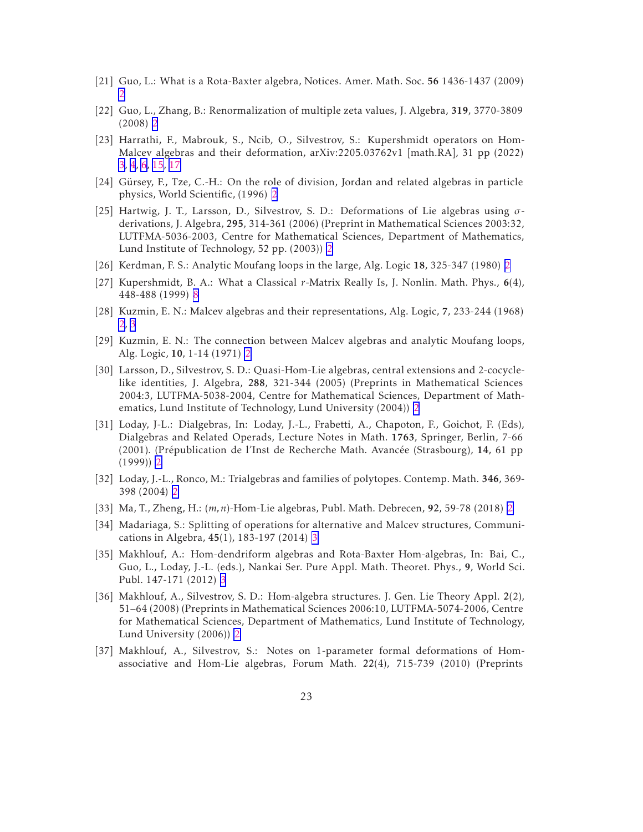- <span id="page-22-0"></span>[21] Guo, L.: What is a Rota-Baxter algebra, Notices. Amer. Math. Soc. 56 1436-1437 (2009) [2](#page-1-0)
- [22] Guo, L., Zhang, B.: Renormalization of multiple zeta values, J. Algebra, 319, 3770-3809 (2008) [2](#page-1-0)
- [23] Harrathi, F., Mabrouk, S., Ncib, O., Silvestrov, S.: Kupershmidt operators on Hom-Malcev algebras and their deformation, arXiv:2205.03762v1 [math.RA], 31 pp (2022) [3,](#page-2-0) [4](#page-3-0), [6,](#page-5-0) [15,](#page-14-0) [17](#page-16-0)
- [24] Gürsey, F., Tze, C.-H.: On the role of division, Jordan and related algebras in particle physics, World Scientific, (1996) [2](#page-1-0)
- [25] Hartwig, J. T., Larsson, D., Silvestrov, S. D.: Deformations of Lie algebras using *σ*derivations, J. Algebra, 295, 314-361 (2006) (Preprint in Mathematical Sciences 2003:32, LUTFMA-5036-2003, Centre for Mathematical Sciences, Department of Mathematics, Lund Institute of Technology, 52 pp. (2003)) [2](#page-1-0)
- [26] Kerdman, F. S.: Analytic Moufang loops in the large, Alg. Logic 18, 325-347 (1980) [2](#page-1-0)
- [27] Kupershmidt, B. A.: What a Classical *r*-Matrix Really Is, J. Nonlin. Math. Phys., 6(4), 448-488 (1999) [8](#page-7-0)
- [28] Kuzmin, E. N.: Malcev algebras and their representations, Alg. Logic, 7, 233-244 (1968) [2,](#page-1-0) [3](#page-2-0)
- [29] Kuzmin, E. N.: The connection between Malcev algebras and analytic Moufang loops, Alg. Logic, 10, 1-14 (1971) [2](#page-1-0)
- [30] Larsson, D., Silvestrov, S. D.: Quasi-Hom-Lie algebras, central extensions and 2-cocyclelike identities, J. Algebra, 288, 321-344 (2005) (Preprints in Mathematical Sciences 2004:3, LUTFMA-5038-2004, Centre for Mathematical Sciences, Department of Mathematics, Lund Institute of Technology, Lund University (2004)) [2](#page-1-0)
- [31] Loday, J-L.: Dialgebras, In: Loday, J.-L., Frabetti, A., Chapoton, F., Goichot, F. (Eds), Dialgebras and Related Operads, Lecture Notes in Math. 1763, Springer, Berlin, 7-66 (2001). (Prépublication de l'Inst de Recherche Math. Avancée (Strasbourg), 14, 61 pp (1999)) [2](#page-1-0)
- [32] Loday, J.-L., Ronco, M.: Trialgebras and families of polytopes. Contemp. Math. 346, 369- 398 (2004) [2](#page-1-0)
- [33] Ma, T., Zheng, H.: (*m,n*)-Hom-Lie algebras, Publ. Math. Debrecen, 92, 59-78 (2018) [2](#page-1-0)
- [34] Madariaga, S.: Splitting of operations for alternative and Malcev structures, Communications in Algebra, 45(1), 183-197 (2014) [3](#page-2-0)
- [35] Makhlouf, A.: Hom-dendriform algebras and Rota-Baxter Hom-algebras, In: Bai, C., Guo, L., Loday, J.-L. (eds.), Nankai Ser. Pure Appl. Math. Theoret. Phys., 9, World Sci. Publ. 147-171 (2012) [3](#page-2-0)
- [36] Makhlouf, A., Silvestrov, S. D.: Hom-algebra structures. J. Gen. Lie Theory Appl. 2(2), 51–64 (2008) (Preprints in Mathematical Sciences 2006:10, LUTFMA-5074-2006, Centre for Mathematical Sciences, Department of Mathematics, Lund Institute of Technology, Lund University (2006)) [2](#page-1-0)
- [37] Makhlouf, A., Silvestrov, S.: Notes on 1-parameter formal deformations of Homassociative and Hom-Lie algebras, Forum Math. 22(4), 715-739 (2010) (Preprints